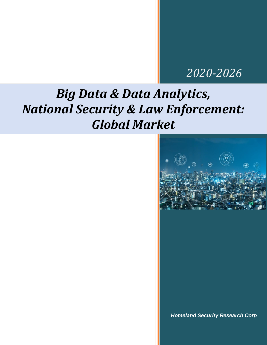# *2020-2026*

# *Big Data & Data Analytics, National Security & Law Enforcement: Global Market*



*Homeland Security Research Corp*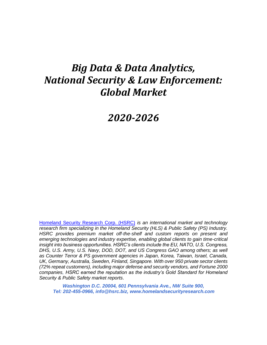# *Big Data & Data Analytics, National Security & Law Enforcement: Global Market*

## *2020-2026*

[Homeland Security Research Corp. \(HSRC\)](http://www.homelandsecurityresearch.com/) *is an international market and technology research firm specializing in the Homeland Security (HLS) & Public Safety (PS) Industry. HSRC provides premium market off-the-shelf and custom reports on present and emerging technologies and industry expertise, enabling global clients to gain time-critical insight into business opportunities. HSRC's clients include the EU, NATO, U.S. Congress, DHS, U.S. Army, U.S. Navy, DOD, DOT, and US Congress GAO among others; as well as Counter Terror & PS government agencies in Japan, Korea, Taiwan, Israel, Canada, UK, Germany, Australia, Sweden, Finland, Singapore. With over 950 private sector clients (72% repeat customers), including major defense and security vendors, and Fortune 2000 companies, HSRC earned the reputation as the industry's Gold Standard for Homeland Security & Public Safety market reports*.

*Washington D.C. 20004, 601 Pennsylvania Ave., NW Suite 900, Tel: 202-455-0966, [info@hsrc.biz,](mailto:info@hsrc.biz) [www.homelandsecurityresearch.com](http://www.homelandsecurityresearch.com/)*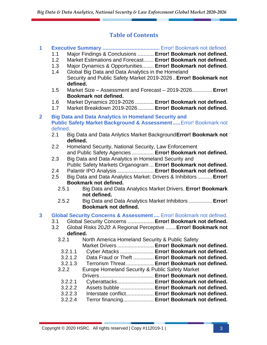#### **Table of Contents**

#### **1 Executive Summary .......................................** Error! Bookmark not defined.

- 1.1 Major Findings & Conclusions ........... **Error! Bookmark not defined.**
- 1.2 Market Estimations and Forecast....... **Error! Bookmark not defined.**
- 1.3 Major Dynamics & Opportunities........ **Error! Bookmark not defined.**
- 1.4 Global Big Data and Data Analytics in the Homeland Security and Public Safety Market 2019-2026 ..**Error! Bookmark not defined.**
- 1.5 Market Size Assessment and Forecast 2019-2026..............**Error! Bookmark not defined.**
- 1.6 Market Dynamics 2019-2026 ............. **Error! Bookmark not defined.**
- 1.7 Market Breakdown 2019-2026........... **Error! Bookmark not defined.**
- **2 Big Data and Data Analytics in Homeland Security and Public Safety Market Background & Assessment.....**Error! Bookmark not defined.
	- 2.1 Big Data and Data Anlytics Market Background**Error! Bookmark not defined.**
	- 2.2 Homeland Security, National Security, Law Enforcement and Public Safety Agencies ............... **Error! Bookmark not defined.**
	- 2.3 Big Data and Data Analytics in Homeland Security and Public Safety Markets Organogram ... **Error! Bookmark not defined.**
	- 2.4 Palantir IPO Analysis ......................... **Error! Bookmark not defined.**
	- 2.5 Big Data and Data Analytics Market: Drivers & Inhibitors ..........**Error! Bookmark not defined.**
		- 2.5.1 Big Data and Data Analytics Market Drivers. **Error! Bookmark not defined.**
		- 2.5.2 Big Data and Data Analytics Market Inhibitors ................**Error! Bookmark not defined.**

#### **3 Global Security Concerns & Assessment ....** Error! Bookmark not defined.

- 3.1 Global Security Concerns .................. **Error! Bookmark not defined.**
- 3.2 Global Risks 2020: A Regional Perceptive .......**Error! Bookmark not defined.**

| 3.2.1   | North America Homeland Security & Public Safety |                                                   |
|---------|-------------------------------------------------|---------------------------------------------------|
|         |                                                 | Market Drivers  Error! Bookmark not defined.      |
| 3.2.1.1 |                                                 | Cyber Attacks  Error! Bookmark not defined.       |
| 3.2.1.2 |                                                 | Data Fraud or Theft  Error! Bookmark not defined. |
| 3.2.1.3 |                                                 | Terrorism Threat Error! Bookmark not defined.     |
| 3.2.2   | Europe Homeland Security & Public Safety Market |                                                   |
|         |                                                 |                                                   |
| 3.2.2.1 |                                                 | Cyberattacks Error! Bookmark not defined.         |
| 3.2.2.2 |                                                 | Assets bubble  Error! Bookmark not defined.       |
| 3.2.2.3 |                                                 | Interstate conflict Error! Bookmark not defined.  |
| 3.2.2.4 |                                                 | Terror financing Error! Bookmark not defined.     |
|         |                                                 |                                                   |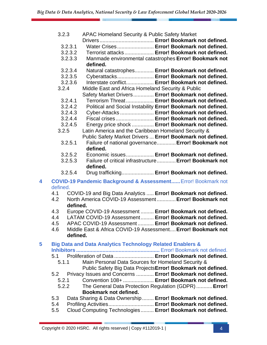|   | 3.2.3              | APAC Homeland Security & Public Safety Market                                                           |
|---|--------------------|---------------------------------------------------------------------------------------------------------|
|   | 3.2.3.1            | Water Crises Error! Bookmark not defined.                                                               |
|   | 3.2.3.2            | Terrorist attacks Error! Bookmark not defined.                                                          |
|   | 3.2.3.3            | Manmade environmental catastrophes Error! Bookmark not                                                  |
|   |                    | defined.                                                                                                |
|   | 3.2.3.4            | Natural catastrophes Error! Bookmark not defined.                                                       |
|   | 3.2.3.5            | Cyberattacks Error! Bookmark not defined.                                                               |
|   | 3.2.3.6            | Interstate conflict Error! Bookmark not defined.                                                        |
|   | 3.2.4              | Middle East and Africa Homeland Security & Public                                                       |
|   |                    | Safety Market Drivers Error! Bookmark not defined.                                                      |
|   | 3.2.4.1            | Terrorism Threat Error! Bookmark not defined.                                                           |
|   | 3.2.4.2            | Political and Social Instability Error! Bookmark not defined.                                           |
|   | 3.2.4.3            | Cyber-Attacks Error! Bookmark not defined.                                                              |
|   | 3.2.4.4<br>3.2.4.5 | Fiscal crises Error! Bookmark not defined.                                                              |
|   | 3.2.5              | Energy price shock  Error! Bookmark not defined.<br>Latin America and the Caribbean Homeland Security & |
|   |                    | Public Safety Market Drivers  Error! Bookmark not defined.                                              |
|   | 3.2.5.1            | Failure of national governance Error! Bookmark not                                                      |
|   |                    | defined.                                                                                                |
|   | 3.2.5.2            | Economic issues Error! Bookmark not defined.                                                            |
|   | 3.2.5.3            | Failure of critical infrastructure Error! Bookmark not<br>defined.                                      |
|   | 3.2.5.4            | Drug trafficking Error! Bookmark not defined.                                                           |
| 4 |                    | <b>COVID-19 Pandemic Background &amp; Assessment Error! Bookmark not</b>                                |
|   | defined.           |                                                                                                         |
|   | 4.1                | COVID-19 and Big Data Analytics  Error! Bookmark not defined.                                           |
|   | 4.2                | North America COVID-19 Assessment Error! Bookmark not                                                   |
|   | defined.           |                                                                                                         |
|   | 4.3                | Europe COVID-19 Assessment  Error! Bookmark not defined.                                                |
|   | 4.4                | LATAM COVID-19 Assessment Error! Bookmark not defined.                                                  |
|   | 4.5                | APAC COVID-19 Assessment Error! Bookmark not defined.                                                   |
|   | 4.6<br>defined.    | Middle East & Africa COVID-19 Assessment Error! Bookmark not                                            |
| 5 |                    | <b>Big Data and Data Analytics Technology Related Enablers &amp;</b>                                    |
|   |                    |                                                                                                         |
|   | 5.1                | Proliferation of Data  Error! Bookmark not defined.                                                     |
|   | 5.1.1              | Main Personal Data Sources for Homeland Security &                                                      |
|   |                    | Public Safety Big Data Projects Error! Bookmark not defined.                                            |
|   | 5.2                | Privacy Issues and Concerns  Error! Bookmark not defined.                                               |
|   | 5.2.1              | Convention 108+  Error! Bookmark not defined.                                                           |
|   | 5.2.2              | The General Data Protection Regulation (GDPR)  Error!                                                   |

- **Bookmark not defined.**
- 5.3 Data Sharing & Data Ownership........ **Error! Bookmark not defined.**
- 5.4 Profiling Activities............................... **Error! Bookmark not defined.**
- 5.5 Cloud Computing Technologies......... **Error! Bookmark not defined.**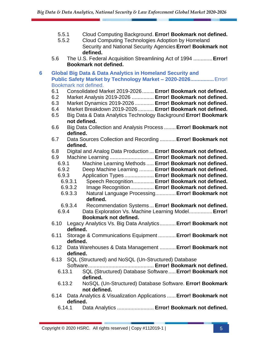- 5.5.1 Cloud Computing Background. **Error! Bookmark not defined.**
- 5.5.2 Cloud Computing Technologies Adoption by Homeland Security and National Security Agencies **Error! Bookmark not defined.**
- 5.6 The U.S. Federal Acquisition Streamlining Act of 1994 .............**Error! Bookmark not defined.**
- **6 Global Big Data & Data Analytics in Homeland Security and Public Safety Market by Technology Market – 2020-2026................**Error! Bookmark not defined.
	- 6.1 Consolidated Market 2019-2026........ **Error! Bookmark not defined.**
	- 6.2 Market Analysis 2019-2026 ............... **Error! Bookmark not defined.**
	- 6.3 Market Dynamics 2019-2026 ............. **Error! Bookmark not defined.**
	- 6.4 Market Breakdown 2019-2026........... **Error! Bookmark not defined.**
	- 6.5 Big Data & Data Analytics Technology Background **Error! Bookmark not defined.**
	- 6.6 Big Data Collection and Analysis Process ........**Error! Bookmark not defined.**
	- 6.7 Data Sources Collection and Recording ...........**Error! Bookmark not defined.**
	- 6.8 Digital and Analog Data Production ... **Error! Bookmark not defined.**
	- 6.9 Machine Learning .............................. **Error! Bookmark not defined.**
		- 6.9.1 Machine Learning Methods ..... **Error! Bookmark not defined.**
		- 6.9.2 Deep Machine Learning .......... **Error! Bookmark not defined.**
		- 6.9.3 Application Types .................... **Error! Bookmark not defined.**
		- 6.9.3.1 Speech Recognition.............. **Error! Bookmark not defined.**
		- 6.9.3.2 Image Recognition................ **Error! Bookmark not defined.** 6.9.3.3 Natural Language Processing..............**Error! Bookmark not**
		- **defined.**
		- 6.9.3.4 Recommendation Systems... **Error! Bookmark not defined.**
		- 6.9.4 Data Exploration Vs. Machine Learning Model................**Error! Bookmark not defined.**
	- 6.10 Legacy Analytics Vs. Big Data Analytics...........**Error! Bookmark not defined.**
	- 6.11 Storage & Communications Equipment ............**Error! Bookmark not defined.**
	- 6.12 Data Warehouses & Data Management ...........**Error! Bookmark not defined.**
	- 6.13 SQL (Structured) and NoSQL (Un-Structured) Database Software............................................. **Error! Bookmark not defined.**
		- 6.13.1 SQL (Structured) Database Software.....**Error! Bookmark not defined.**
		- 6.13.2 NoSQL (Un-Structured) Database Software. **Error! Bookmark not defined.**
	- 6.14 Data Analytics & Visualization Applications ......**Error! Bookmark not defined.**
		- 6.14.1 Data Analytics ......................... **Error! Bookmark not defined.**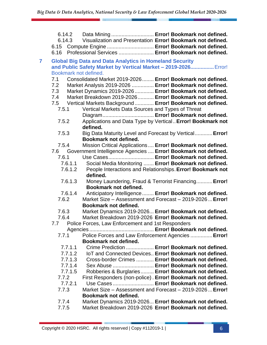|   | 6.14.2<br>6.14.3<br>6.16 | Data Mining  Error! Bookmark not defined.<br>Visualization and Presentation Error! Bookmark not defined.<br>6.15 Compute Engine  Error! Bookmark not defined.<br>Professional Services  Error! Bookmark not defined. |
|---|--------------------------|----------------------------------------------------------------------------------------------------------------------------------------------------------------------------------------------------------------------|
| 7 | Bookmark not defined.    | <b>Global Big Data and Data Analytics in Homeland Security</b><br>and Public Safety Market by Vertical Market - 2019-2026 Error!                                                                                     |
|   | 7.1                      | Consolidated Market 2019-2026 Error! Bookmark not defined.                                                                                                                                                           |
|   | 7.2                      | Market Analysis 2019-2026  Error! Bookmark not defined.                                                                                                                                                              |
|   | 7.3                      | Market Dynamics 2019-2026  Error! Bookmark not defined.                                                                                                                                                              |
|   | 7.4                      | Market Breakdown 2019-2026 Error! Bookmark not defined.                                                                                                                                                              |
|   |                          | 7.5 Vertical Markets Background  Error! Bookmark not defined.                                                                                                                                                        |
|   | 7.5.1                    | Vertical Markets Data Sources and Types of Threat                                                                                                                                                                    |
|   |                          |                                                                                                                                                                                                                      |
|   | 7.5.2                    | Applications and Data Type by Vertical Error! Bookmark not                                                                                                                                                           |
|   |                          | defined.                                                                                                                                                                                                             |
|   | 7.5.3                    | Big Data Maturity Level and Forecast by Vertical Error!                                                                                                                                                              |
|   |                          | Bookmark not defined.                                                                                                                                                                                                |
|   | 7.5.4<br>7.6             | Mission Critical Applications  Error! Bookmark not defined.                                                                                                                                                          |
|   | 7.6.1                    | Government Intelligence Agencies  Error! Bookmark not defined.<br>Use Cases Error! Bookmark not defined.                                                                                                             |
|   | 7.6.1.1                  | Social Media Monitoring  Error! Bookmark not defined.                                                                                                                                                                |
|   | 7.6.1.2                  | People Interactions and Relationships. Error! Bookmark not                                                                                                                                                           |
|   |                          | defined.                                                                                                                                                                                                             |
|   | 7.6.1.3                  | Money Laundering, Fraud & Terrorist Financing Error!                                                                                                                                                                 |
|   |                          | Bookmark not defined.                                                                                                                                                                                                |
|   | 7.6.1.4                  | Anticipatory Intelligence  Error! Bookmark not defined.                                                                                                                                                              |
|   | 7.6.2                    | Market Size – Assessment and Forecast – 2019-2026 Error!                                                                                                                                                             |
|   |                          | Bookmark not defined.                                                                                                                                                                                                |
|   | 7.6.3                    | Market Dynamics 2019-2026 Error! Bookmark not defined.                                                                                                                                                               |
|   | 7.6.4                    | Market Breakdown 2019-2026 Error! Bookmark not defined.                                                                                                                                                              |
|   | 7.7                      | Police Forces, Law Enforcement and 1st Responders                                                                                                                                                                    |
|   |                          |                                                                                                                                                                                                                      |
|   | 7.7.1                    | Police Forces and Law Enforcement Agencies  Error!                                                                                                                                                                   |
|   |                          | Bookmark not defined.                                                                                                                                                                                                |
|   | 7.7.1.1                  | Crime Prediction  Error! Bookmark not defined.                                                                                                                                                                       |
|   | 7.7.1.2                  | IoT and Connected Devices Error! Bookmark not defined.                                                                                                                                                               |
|   | 7.7.1.3<br>7.7.1.4       | Cross-border Crimes  Error! Bookmark not defined.<br>Sex Abuse  Error! Bookmark not defined.                                                                                                                         |
|   | 7.7.1.5                  | Robberies & Burglaries Error! Bookmark not defined.                                                                                                                                                                  |
|   | 7.7.2                    | First Responders (non-police). Error! Bookmark not defined.                                                                                                                                                          |
|   | 7.7.2.1                  | Use Cases  Error! Bookmark not defined.                                                                                                                                                                              |
|   | 7.7.3                    | Market Size - Assessment and Forecast - 2019-2026 Error!                                                                                                                                                             |
|   |                          | Bookmark not defined.                                                                                                                                                                                                |
|   | 7.7.4                    | Market Dynamics 2019-2026 Error! Bookmark not defined.                                                                                                                                                               |
|   | 7.7.5                    | Market Breakdown 2019-2026 Error! Bookmark not defined.                                                                                                                                                              |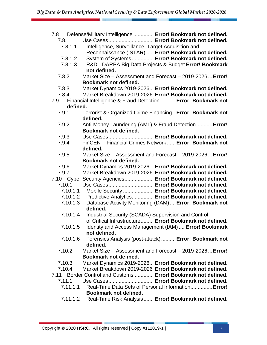|          | 7.8 Defense/Military Intelligence  Error! Bookmark not defined.        |
|----------|------------------------------------------------------------------------|
| 7.8.1    | Use Cases Error! Bookmark not defined.                                 |
| 7.8.1.1  | Intelligence, Surveillance, Target Acquisition and                     |
|          | Reconnaissance (ISTAR)  Error! Bookmark not defined.                   |
| 7.8.1.2  | System of Systems Error! Bookmark not defined.                         |
| 7.8.1.3  | R&D - DARPA Big Data Projects & Budget Error! Bookmark                 |
|          | not defined.                                                           |
| 7.8.2    | Market Size – Assessment and Forecast – 2019-2026 Error!               |
|          | Bookmark not defined.                                                  |
| 7.8.3    | Market Dynamics 2019-2026 Error! Bookmark not defined.                 |
| 7.8.4    | Market Breakdown 2019-2026 Error! Bookmark not defined.                |
| 7.9      | Financial Intelligence & Fraud Detection Error! Bookmark not           |
| defined. |                                                                        |
| 7.9.1    | Terrorist & Organized Crime Financing. Error! Bookmark not<br>defined. |
| 7.9.2    | Anti-Money Laundering (AML) & Fraud Detection  Error!                  |
|          | <b>Bookmark not defined.</b>                                           |
| 7.9.3    | Use Cases Error! Bookmark not defined.                                 |
| 7.9.4    | FinCEN - Financial Crimes Network  Error! Bookmark not                 |
|          | defined.                                                               |
| 7.9.5    | Market Size - Assessment and Forecast - 2019-2026 Error!               |
|          | <b>Bookmark not defined.</b>                                           |
| 7.9.6    | Market Dynamics 2019-2026 Error! Bookmark not defined.                 |
| 7.9.7    | Market Breakdown 2019-2026 Error! Bookmark not defined.                |
|          | 7.10 Cyber Security Agencies Error! Bookmark not defined.              |
| 7.10.1   | Use Cases Error! Bookmark not defined.                                 |
| 7.10.1.1 | Mobile Security  Error! Bookmark not defined.                          |
|          | 7.10.1.2 Predictive Analytics Error! Bookmark not defined.             |
| 7.10.1.3 | Database Activity Monitoring (DAM)  Error! Bookmark not                |
|          | defined.                                                               |
| 7.10.1.4 | Industrial Security (SCADA) Supervision and Control                    |
|          | of Critical Infrastructure Error! Bookmark not defined.                |
| 7.10.1.5 | Identity and Access Management (IAM)  Error! Bookmark<br>not defined.  |
| 7.10.1.6 | Forensics Analysis (post-attack)  Error! Bookmark not                  |
|          | defined.                                                               |
| 7.10.2   | Market Size – Assessment and Forecast – 2019-2026 Error!               |
|          | Bookmark not defined.                                                  |
| 7.10.3   | Market Dynamics 2019-2026 Error! Bookmark not defined.                 |
| 7.10.4   | Market Breakdown 2019-2026 Error! Bookmark not defined.                |
|          | 7.11 Border Control and Customs  Error! Bookmark not defined.          |
| 7.11.1   | Use Cases Error! Bookmark not defined.                                 |
| 7.11.1.1 | Real-Time Data Sets of Personal Information Error!                     |
|          | Bookmark not defined.                                                  |
| 7.11.1.2 | Real-Time Risk Analysis Error! Bookmark not defined.                   |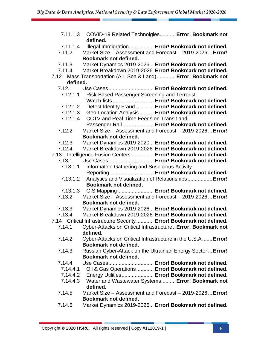| 7.11.1.3 | COVID-19 Related Technolgies Error! Bookmark not                   |
|----------|--------------------------------------------------------------------|
|          | defined.                                                           |
| 7.11.1.4 | Illegal Immigration Error! Bookmark not defined.                   |
| 7.11.2   | Market Size - Assessment and Forecast - 2019-2026 Error!           |
|          | Bookmark not defined.                                              |
| 7.11.3   | Market Dynamics 2019-2026 Error! Bookmark not defined.             |
| 7.11.4   | Market Breakdown 2019-2026 Error! Bookmark not defined.            |
| 7.12     | Mass Transportation (Air, Sea & Land) Error! Bookmark not          |
| defined. |                                                                    |
| 7.12.1   | Use Cases Error! Bookmark not defined.                             |
| 7.12.1.1 | Risk-Based Passenger Screening and Terrorist                       |
|          | Watch-lists  Error! Bookmark not defined.                          |
| 7.12.1.2 | Detect Identity Fraud  Error! Bookmark not defined.                |
| 7.12.1.3 | Geo-Location Analysis  Error! Bookmark not defined.                |
| 7.12.1.4 | CCTV and Real-Time Feeds on Transit and                            |
|          | Passenger Rail  Error! Bookmark not defined.                       |
| 7.12.2   | Market Size - Assessment and Forecast - 2019-2026 Error!           |
|          | Bookmark not defined.                                              |
| 7.12.3   | Market Dynamics 2019-2020 Error! Bookmark not defined.             |
| 7.12.4   | Market Breakdown 2019-2026 Error! Bookmark not defined.            |
|          | 7.13 Intelligence Fusion Centers  Error! Bookmark not defined.     |
| 7.13.1   | Use Cases Error! Bookmark not defined.                             |
| 7.13.1.1 | <b>Information Gathering and Suspicious Activity</b>               |
|          | Reporting  Error! Bookmark not defined.                            |
| 7.13.1.2 | Analytics and Visualization of Relationships Error!                |
|          | Bookmark not defined.                                              |
| 7.13.1.3 | GIS Mapping Error! Bookmark not defined.                           |
| 7.13.2   | Market Size - Assessment and Forecast - 2019-2026 Error!           |
|          | Bookmark not defined.                                              |
| 7.13.3   | Market Dynamics 2019-2026 Error! Bookmark not defined.             |
| 7.13.4   | Market Breakdown 2019-2026 Error! Bookmark not defined.            |
|          | 7.14 Critical Infrastructure Security Error! Bookmark not defined. |
| 7.14.1   | Cyber-Attacks on Critical Infrastructure Error! Bookmark not       |
|          | defined.                                                           |
| 7.14.2   | Cyber-Attacks on Critical Infrastructure in the U.S.A Error!       |
|          | Bookmark not defined.                                              |
| 7.14.3   | Russian Cyber-Attack on the Ukrainian Energy Sector  Error!        |
|          | Bookmark not defined.                                              |
| 7.14.4   | Use Cases Error! Bookmark not defined.                             |
| 7.14.4.1 | Oil & Gas Operations Error! Bookmark not defined.                  |
|          | 7.14.4.2 Energy Utilities Error! Bookmark not defined.             |
| 7.14.4.3 | Water and Wastewater Systems Error! Bookmark not                   |
|          | defined.                                                           |
| 7.14.5   | Market Size - Assessment and Forecast - 2019-2026 Error!           |
|          | <b>Bookmark not defined.</b>                                       |
| 7.14.6   | Market Dynamics 2019-2026 Error! Bookmark not defined.             |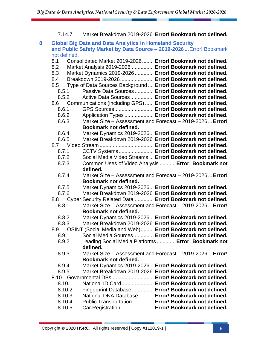#### 7.14.7 Market Breakdown 2019-2026 **Error! Bookmark not defined.**

#### **8 Global Big Data and Data Analytics in Homeland Security and Public Safety Market by Data Source – 2019-2026 ...**Error! Bookmark not defined. 8.1 Consolidated Market 2019-2026........ **Error! Bookmark not defined.**

| 8.2    | Market Analysis 2019-2026  Error! Bookmark not defined.       |
|--------|---------------------------------------------------------------|
| 8.3    | Market Dynamics 2019-2026  Error! Bookmark not defined.       |
| 8.4    | Breakdown 2019-2026 Error! Bookmark not defined.              |
| 8.5    | Type of Data Sources Background  Error! Bookmark not defined. |
| 8.5.1  | Passive Data Sources  Error! Bookmark not defined.            |
| 8.5.2  | Active Data Sources Error! Bookmark not defined.              |
| 8.6    | Communications (including GPS)  Error! Bookmark not defined.  |
| 8.6.1  | GPS Sources Error! Bookmark not defined.                      |
| 8.6.2  | Application Types  Error! Bookmark not defined.               |
| 8.6.3  | Market Size - Assessment and Forecast - 2019-2026 Error!      |
|        | Bookmark not defined.                                         |
| 8.6.4  | Market Dynamics 2019-2026 Error! Bookmark not defined.        |
| 8.6.5  | Market Breakdown 2019-2026 Error! Bookmark not defined.       |
| 8.7    |                                                               |
| 8.7.1  | CCTV Systems Error! Bookmark not defined.                     |
| 8.7.2  | Social Media Video Streams  Error! Bookmark not defined.      |
| 8.7.3  | Common Uses of Video Analysis  Error! Bookmark not            |
|        | defined.                                                      |
| 8.7.4  | Market Size - Assessment and Forecast - 2019-2026 Error!      |
|        | <b>Bookmark not defined.</b>                                  |
| 8.7.5  | Market Dynamics 2019-2026 Error! Bookmark not defined.        |
| 8.7.6  | Market Breakdown 2019-2026 Error! Bookmark not defined.       |
| 8.8    | Cyber Security Related Data  Error! Bookmark not defined.     |
| 8.8.1  | Market Size - Assessment and Forecast - 2019-2026 Error!      |
|        | Bookmark not defined.                                         |
| 8.8.2  | Market Dynamics 2019-2026 Error! Bookmark not defined.        |
| 8.8.3  | Market Breakdown 2019-2026 Error! Bookmark not defined.       |
| 8.9    | OSINT (Social Media and Web) Error! Bookmark not defined.     |
| 8.9.1  | Social Media Sources Error! Bookmark not defined.             |
| 8.9.2  | Leading Social Media Platforms  Error! Bookmark not           |
|        | defined.                                                      |
| 8.9.3  | Market Size – Assessment and Forecast – 2019-2026 Error!      |
|        | Bookmark not defined.                                         |
| 8.9.4  | Market Dynamics 2019-2026 Error! Bookmark not defined.        |
| 8.9.5  | Market Breakdown 2019-2026 Error! Bookmark not defined.       |
|        | 8.10 Governmental DBs Error! Bookmark not defined.            |
| 8.10.1 | National ID Card Error! Bookmark not defined.                 |
| 8.10.2 | Fingerprint Database  Error! Bookmark not defined.            |
| 8.10.3 | National DNA Database  Error! Bookmark not defined.           |
| 8.10.4 | Public Transportation Error! Bookmark not defined.            |
| 8.10.5 | Car Registration  Error! Bookmark not defined.                |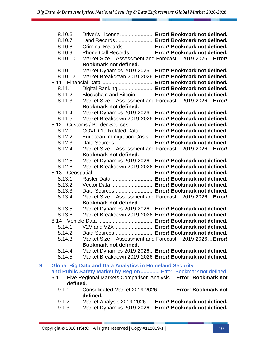|   | 8.10.6   | Driver's License  Error! Bookmark not defined.                  |
|---|----------|-----------------------------------------------------------------|
|   | 8.10.7   | Land Records Error! Bookmark not defined.                       |
|   | 8.10.8   | Criminal Records Error! Bookmark not defined.                   |
|   | 8.10.9   | Phone Call Records Error! Bookmark not defined.                 |
|   | 8.10.10  | Market Size - Assessment and Forecast - 2019-2026 Error!        |
|   |          | Bookmark not defined.                                           |
|   | 8.10.11  | Market Dynamics 2019-2026 Error! Bookmark not defined.          |
|   | 8.10.12  | Market Breakdown 2019-2026 Error! Bookmark not defined.         |
|   |          |                                                                 |
|   | 8.11.1   | Digital Banking  Error! Bookmark not defined.                   |
|   | 8.11.2   | Blockchain and Bitcoin  Error! Bookmark not defined.            |
|   | 8.11.3   | Market Size - Assessment and Forecast - 2019-2026 Error!        |
|   |          | Bookmark not defined.                                           |
|   |          |                                                                 |
|   | 8.11.4   | Market Dynamics 2019-2026 Error! Bookmark not defined.          |
|   | 8.11.5   | Market Breakdown 2019-2026 Error! Bookmark not defined.         |
|   |          | 8.12 Customs / Border Sources Error! Bookmark not defined.      |
|   | 8.12.1   | COVID-19 Related Data  Error! Bookmark not defined.             |
|   | 8.12.2   | European Immigration Crisis  Error! Bookmark not defined.       |
|   | 8.12.3   | Data Sources Error! Bookmark not defined.                       |
|   | 8.12.4   | Market Size - Assessment and Forecast - 2019-2026 Error!        |
|   |          | Bookmark not defined.                                           |
|   | 8.12.5   | Market Dynamics 2019-2026 Error! Bookmark not defined.          |
|   | 8.12.6   | Market Breakdown 2019-2026 Error! Bookmark not defined.         |
|   |          |                                                                 |
|   | 8.13.1   | Raster Data  Error! Bookmark not defined.                       |
|   | 8.13.2   | Vector Data  Error! Bookmark not defined.                       |
|   | 8.13.3   | Data Sources Error! Bookmark not defined.                       |
|   | 8.13.4   | Market Size - Assessment and Forecast - 2019-2026 Error!        |
|   |          | <b>Bookmark not defined.</b>                                    |
|   | 8.13.5   | Market Dynamics 2019-2026 Error! Bookmark not defined.          |
|   | 8.13.6   | Market Breakdown 2019-2026 Error! Bookmark not defined.         |
|   |          |                                                                 |
|   | 8.14.1   | V2V and V2X Error! Bookmark not defined.                        |
|   | 8.14.2   | Data Sources Error! Bookmark not defined.                       |
|   | 8.14.3   | Market Size - Assessment and Forecast - 2019-2026 Error!        |
|   |          | <b>Bookmark not defined.</b>                                    |
|   | 8.14.4   | Market Dynamics 2019-2026 Error! Bookmark not defined.          |
|   | 8.14.5   | Market Breakdown 2019-2026 Error! Bookmark not defined.         |
| 9 |          | <b>Global Big Data and Data Analytics in Homeland Security</b>  |
|   |          | and Public Safety Market by Region Error! Bookmark not defined. |
|   | 9.1      | Five Regional Markets Comparison Analysis Error! Bookmark not   |
|   | defined. |                                                                 |
|   | 9.1.1    | Consolidated Market 2019-2026  Error! Bookmark not              |
|   |          | defined.                                                        |

- 9.1.2 Market Analysis 2019-2026..... **Error! Bookmark not defined.**
- 9.1.3 Market Dynamics 2019-2026... **Error! Bookmark not defined.**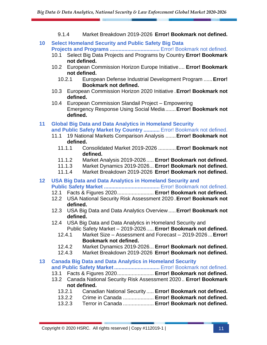- 9.1.4 Market Breakdown 2019-2026 **Error! Bookmark not defined.**
- **10 Select Homeland Security and Public Safety Big Data Projects and Programs ..................................** Error! Bookmark not defined.
	- 10.1 Select Big Data Projects and Programs by Country **Error! Bookmark not defined.**
	- 10.2 European Commission Horizon Europe Initiative.... **Error! Bookmark not defined.**
		- 10.2.1 European Defense Industrial Development Program ......**Error! Bookmark not defined.**
	- 10.3 European Commission Horizon 2020 Initiative .**Error! Bookmark not defined.**
	- 10.4 European Commission Slandail Project Empowering Emergency Response Using Social Media .......**Error! Bookmark not defined.**
- **11 Global Big Data and Data Analytics in Homeland Security and Public Safety Market by Country ...........** Error! Bookmark not defined.
	- 11.1 19 National Markets Comparison Analysis .......**Error! Bookmark not defined.**
		- 11.1.1 Consolidated Market 2019-2026 ............**Error! Bookmark not defined.**
		- 11.1.2 Market Analysis 2019-2026..... **Error! Bookmark not defined.**
		- 11.1.3 Market Dynamics 2019-2026... **Error! Bookmark not defined.**
		- 11.1.4 Market Breakdown 2019-2026 **Error! Bookmark not defined.**
- **12 USA Big Data and Data Analytics in Homeland Security and Public Safety Market ......................................** Error! Bookmark not defined.
	- 12.1 Facts & Figures 2020......................... **Error! Bookmark not defined.**
	- 12.2 USA National Security Risk Assessment 2020 .**Error! Bookmark not defined.**
	- 12.3 USA Big Data and Data Analytics Overview .....**Error! Bookmark not defined.**
	- 12.4 USA Big Data and Data Analytics in Homeland Security and Public Safety Market – 2019-2026..... **Error! Bookmark not defined.**
		- 12.4.1 Market Size Assessment and Forecast 2019-2026 ...**Error! Bookmark not defined.**
		- 12.4.2 Market Dynamics 2019-2026... **Error! Bookmark not defined.**
		- 12.4.3 Market Breakdown 2019-2026 **Error! Bookmark not defined.**
- **13 Canada Big Data and Data Analytics in Homeland Security**  and Public Safety Market............................... Error! Bookmark not defined.
	- 13.1 Facts & Figures 2020......................... **Error! Bookmark not defined.**
	- 13.2 Canada National Security Risk Assessment 2020.. **Error! Bookmark not defined.**
		- 13.2.1 Canadian National Security ..... **Error! Bookmark not defined.**
		- 13.2.2 Crime in Canada ..................... **Error! Bookmark not defined.**
		- 13.2.3 Terror in Canada ..................... **Error! Bookmark not defined.**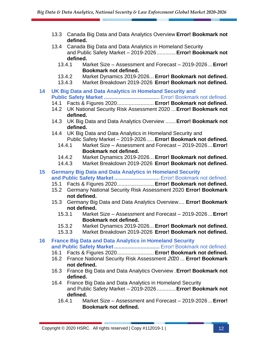- 13.3 Canada Big Data and Data Analytics Overview **Error! Bookmark not defined.**
- 13.4 Canada Big Data and Data Analytics in Homeland Security and Public Safety Market – 2019-2026.............**Error! Bookmark not defined.**
	- 13.4.1 Market Size Assessment and Forecast 2019-2026 ...**Error! Bookmark not defined.**
	- 13.4.2 Market Dynamics 2019-2026... **Error! Bookmark not defined.**
	- 13.4.3 Market Breakdown 2019-2026 **Error! Bookmark not defined.**
- **14 UK Big Data and Data Analytics in Homeland Security and Public Safety Market ......................................** Error! Bookmark not defined.
	- 14.1 Facts & Figures 2020......................... **Error! Bookmark not defined.**
	- 14.2 UK National Security Risk Assessment 2020 ...**Error! Bookmark not defined.**
	- 14.3 UK Big Data and Data Analytics Overview .......**Error! Bookmark not defined.**
	- 14.4 UK Big Data and Data Analytics in Homeland Security and Public Safety Market – 2019-2026..... **Error! Bookmark not defined.**
		- 14.4.1 Market Size Assessment and Forecast 2019-2026 ...**Error! Bookmark not defined.**
		- 14.4.2 Market Dynamics 2019-2026... **Error! Bookmark not defined.**
		- 14.4.3 Market Breakdown 2019-2026 **Error! Bookmark not defined.**

#### **15 Germany Big Data and Data Analytics in Homeland Security and Public Safety Market.................................** Error! Bookmark not defined.

- 
- 15.1 Facts & Figures 2020......................... **Error! Bookmark not defined.**
- 15.2 Germany National Security Risk Assessment 2020 **Error! Bookmark not defined.**
- 15.3 Germany Big Data and Data Analytics Overview.... **Error! Bookmark not defined.**
	- 15.3.1 Market Size Assessment and Forecast 2019-2026 ...**Error! Bookmark not defined.**
	- 15.3.2 Market Dynamics 2019-2026... **Error! Bookmark not defined.**
	- 15.3.3 Market Breakdown 2019-2026 **Error! Bookmark not defined.**
- **16 France Big Data and Data Analytics in Homeland Security**  and Public Safety Market............................... Error! Bookmark not defined.
	- 16.1 Facts & Figures 2020......................... **Error! Bookmark not defined.**
	- 16.2 France National Security Risk Assessment 2020 ... **Error! Bookmark not defined.**
	- 16.3 France Big Data and Data Analytics Overview .**Error! Bookmark not defined.**
	- 16.4 France Big Data and Data Analytics in Homeland Security and Public Safety Market – 2019-2026.............**Error! Bookmark not defined.**
		- 16.4.1 Market Size Assessment and Forecast 2019-2026 ...**Error! Bookmark not defined.**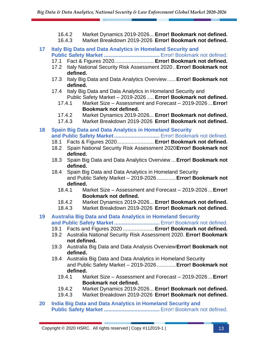- 16.4.2 Market Dynamics 2019-2026... **Error! Bookmark not defined.**
- 16.4.3 Market Breakdown 2019-2026 **Error! Bookmark not defined.**
- **17 Italy Big Data and Data Analytics in Homeland Security and Public Safety Market ......................................** Error! Bookmark not defined.
	- 17.1 Fact & Figures 2020........................... **Error! Bookmark not defined.**
	- 17.2 Italy National Security Risk Assessment 2020..**Error! Bookmark not defined.**
	- 17.3 Italy Big Data and Data Analytics Overview......**Error! Bookmark not defined.**
	- 17.4 Italy Big Data and Data Analytics in Homeland Security and Public Safety Market – 2019-2026..... **Error! Bookmark not defined.**
		- 17.4.1 Market Size Assessment and Forecast 2019-2026 ...**Error! Bookmark not defined.**
		- 17.4.2 Market Dynamics 2019-2026... **Error! Bookmark not defined.**
		- 17.4.3 Market Breakdown 2019-2026 **Error! Bookmark not defined.**
- **18 Spain Big Data and Data Analytics in Homeland Security**  and Public Safety Market............................... Error! Bookmark not defined.
	- 18.1 Facts & Figures 2020......................... **Error! Bookmark not defined.**
	- 18.2 Spain National Security Risk Assessment 2020**Error! Bookmark not defined.**
	- 18.3 Spain Big Data and Data Analytics Overview ...**Error! Bookmark not defined.**
	- 18.4 Spain Big Data and Data Analytics in Homeland Security and Public Safety Market – 2019-2026.............**Error! Bookmark not defined.**
		- 18.4.1 Market Size Assessment and Forecast 2019-2026 ...**Error! Bookmark not defined.**
		- 18.4.2 Market Dynamics 2019-2026... **Error! Bookmark not defined.**
		- 18.4.3 Market Breakdown 2019-2026 **Error! Bookmark not defined.**

#### **19 Australia Big Data and Data Analytics in Homeland Security**  and Public Safety Market............................... Error! Bookmark not defined.

- 19.1 Facts and Figures 2020 ..................... **Error! Bookmark not defined.**
- 19.2 Australia National Security Risk Assessment 2020. **Error! Bookmark not defined.**
- 19.3 Australia Big Data and Data Analysis Overview**Error! Bookmark not defined.**
- 19.4 Australia Big Data and Data Analytics in Homeland Security and Public Safety Market – 2019-2026.............**Error! Bookmark not defined.**
	- 19.4.1 Market Size Assessment and Forecast 2019-2026 ...**Error! Bookmark not defined.**
	- 19.4.2 Market Dynamics 2019-2026... **Error! Bookmark not defined.**
	- 19.4.3 Market Breakdown 2019-2026 **Error! Bookmark not defined.**
- **20 India Big Data and Data Analytics in Homeland Security and Public Safety Market ......................................** Error! Bookmark not defined.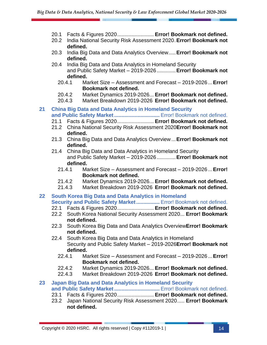- 20.1 Facts & Figures 2020......................... **Error! Bookmark not defined.**
- 20.2 India National Security Risk Assessment 2020.**Error! Bookmark not defined.**
- 20.3 India Big Data and Data Analytics Overview.....**Error! Bookmark not defined.**
- 20.4 India Big Data and Data Analytics in Homeland Security and Public Safety Market – 2019-2026.............**Error! Bookmark not defined.**
	- 20.4.1 Market Size Assessment and Forecast 2019-2026 ...**Error! Bookmark not defined.**
	- 20.4.2 Market Dynamics 2019-2026... **Error! Bookmark not defined.**
	- 20.4.3 Market Breakdown 2019-2026 **Error! Bookmark not defined.**

#### **21 China Big Data and Data Analytics in Homeland Security**  and Public Safety Market................................ Error! Bookmark not defined.

- 21.1 Facts & Figures 2020......................... **Error! Bookmark not defined.**
- 21.2 China National Security Risk Assessment 2020**Error! Bookmark not defined.**
- 21.3 China Big Data and Data Analytics Overview ...**Error! Bookmark not defined.**
- 21.4 China Big Data and Data Analytics in Homeland Security and Public Safety Market – 2019-2026.............**Error! Bookmark not defined.**
	- 21.4.1 Market Size Assessment and Forecast 2019-2026 ...**Error! Bookmark not defined.**
	- 21.4.2 Market Dynamics 2019-2026... **Error! Bookmark not defined.**
	- 21.4.3 Market Breakdown 2019-2026 **Error! Bookmark not defined.**
- **22 South Korea Big Data and Data Analytics in Homeland Security and Public Safety Market................** Error! Bookmark not defined.
	- 22.1 Facts & Figures 2020......................... **Error! Bookmark not defined.**
	- 22.2 South Korea National Security Assessment 2020... **Error! Bookmark not defined.**
	- 22.3 South Korea Big Data and Data Analytics Overview**Error! Bookmark not defined.**
	- 22.4 South Korea Big Data and Data Analytics in Homeland Security and Public Safety Market – 2019-2026**Error! Bookmark not defined.**
		- 22.4.1 Market Size Assessment and Forecast 2019-2026 ...**Error! Bookmark not defined.**
		- 22.4.2 Market Dynamics 2019-2026... **Error! Bookmark not defined.**
		- 22.4.3 Market Breakdown 2019-2026 **Error! Bookmark not defined.**

#### **23 Japan Big Data and Data Analytics in Homeland Security**  and Public Safety Market............................... Error! Bookmark not defined.

- 23.1 Facts & Figures 2020......................... **Error! Bookmark not defined.**
- 23.2 Japan National Security Risk Assessment 2020..... **Error! Bookmark not defined.**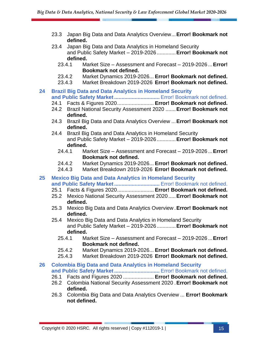- 23.3 Japan Big Data and Data Analytics Overview...**Error! Bookmark not defined.**
- 23.4 Japan Big Data and Data Analytics in Homeland Security and Public Safety Market – 2019-2026.............**Error! Bookmark not defined.**
	- 23.4.1 Market Size Assessment and Forecast 2019-2026 ...**Error! Bookmark not defined.**
	- 23.4.2 Market Dynamics 2019-2026... **Error! Bookmark not defined.**
	- 23.4.3 Market Breakdown 2019-2026 **Error! Bookmark not defined.**

#### **24 Brazil Big Data and Data Analytics in Homeland Security**  and Public Safety Market................................ Error! Bookmark not defined.

- 24.1 Facts & Figures 2020......................... **Error! Bookmark not defined.**
- 24.2 Brazil National Security Assessment 2020 .......**Error! Bookmark not defined.**
- 24.3 Brazil Big Data and Data Analytics Overview ...**Error! Bookmark not defined.**
- 24.4 Brazil Big Data and Data Analytics in Homeland Security and Public Safety Market – 2019-2026.............**Error! Bookmark not defined.**
	- 24.4.1 Market Size Assessment and Forecast 2019-2026 ...**Error! Bookmark not defined.**
	- 24.4.2 Market Dynamics 2019-2026... **Error! Bookmark not defined.**
	- 24.4.3 Market Breakdown 2019-2026 **Error! Bookmark not defined.**

#### **25 Mexico Big Data and Data Analytics in Homeland Security**  and Public Safety Market............................... Error! Bookmark not defined.

- 25.1 Facts & Figures 2020......................... **Error! Bookmark not defined.**
- 25.2 Mexico National Security Assessment 2020 .....**Error! Bookmark not defined.**
- 25.3 Mexico Big Data and Data Analytics Overview .**Error! Bookmark not defined.**
- 25.4 Mexico Big Data and Data Analytics in Homeland Security and Public Safety Market – 2019-2026.............**Error! Bookmark not defined.**
	- 25.4.1 Market Size Assessment and Forecast 2019-2026 ...**Error! Bookmark not defined.**
	- 25.4.2 Market Dynamics 2019-2026... **Error! Bookmark not defined.**
	- 25.4.3 Market Breakdown 2019-2026 **Error! Bookmark not defined.**

#### **26 Colombia Big Data and Data Analytics in Homeland Security**  and Public Safety Market............................... Error! Bookmark not defined.

- 26.1 Facts and Figures 2020 ..................... **Error! Bookmark not defined.**
- 26.2 Colombia National Security Assessment 2020 .**Error! Bookmark not defined.**
- 26.3 Colombia Big Data and Data Analytics Overview ... **Error! Bookmark not defined.**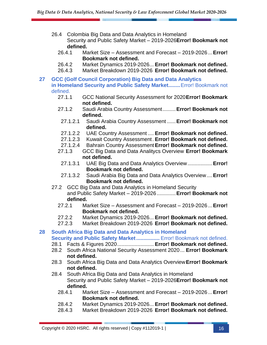- 26.4 Colombia Big Data and Data Analytics in Homeland Security and Public Safety Market – 2019-2026**Error! Bookmark not defined.**
	- 26.4.1 Market Size Assessment and Forecast 2019-2026 ...**Error! Bookmark not defined.**
	- 26.4.2 Market Dynamics 2019-2026... **Error! Bookmark not defined.**
	- 26.4.3 Market Breakdown 2019-2026 **Error! Bookmark not defined.**
- **27 GCC (Golf Council Corporation) Big Data and Data Analytics in Homeland Security and Public Safety Market........**Error! Bookmark not defined.
	- 27.1.1 GCC National Security Assessment for 2020**Error! Bookmark not defined.**
	- 27.1.2 Saudi Arabia Country Assessment.........**Error! Bookmark not defined.**
		- 27.1.2.1 Saudi Arabia Country Assessment ......**Error! Bookmark not defined.**
		- 27.1.2.2 UAE Country Assessment .... **Error! Bookmark not defined.**
		- 27.1.2.3 Kuwait Country Assessment. **Error! Bookmark not defined.**
		- 27.1.2.4 Bahrain Country Assessment**Error! Bookmark not defined.**
	- 27.1.3 GCC Big Data and Data Analitycs Overview **Error! Bookmark not defined.**
	- 27.1.3.1 UAE Big Data and Data Analytics Overview.................**Error! Bookmark not defined.**
	- 27.1.3.2 Saudi Arabia Big Data and Data Analytics Overview....**Error! Bookmark not defined.**
	- 27.2 GCC Big Data and Data Analytics in Homeland Security and Public Safety Market – 2019-2026.............**Error! Bookmark not defined.**
		- 27.2.1 Market Size Assessment and Forecast 2019-2026 ...**Error! Bookmark not defined.**
		- 27.2.2 Market Dynamics 2019-2026... **Error! Bookmark not defined.**
		- 27.2.3 Market Breakdown 2019-2026 **Error! Bookmark not defined.**

#### **28 South Africa Big Data and Data Analytics in Homeland Security and Public Safety Market................** Error! Bookmark not defined.

- 28.1 Facts & Figures 2020......................... **Error! Bookmark not defined.**
- 28.2 South Africa National Security Assessment 2020... **Error! Bookmark not defined.**
- 28.3 South Africa Big Data and Data Analytics Overview**Error! Bookmark not defined.**
- 28.4 South Africa Big Data and Data Analytics in Homeland Security and Public Safety Market – 2019-2026**Error! Bookmark not defined.**
	- 28.4.1 Market Size Assessment and Forecast 2019-2026 ...**Error! Bookmark not defined.**
	- 28.4.2 Market Dynamics 2019-2026... **Error! Bookmark not defined.**
	- 28.4.3 Market Breakdown 2019-2026 **Error! Bookmark not defined.**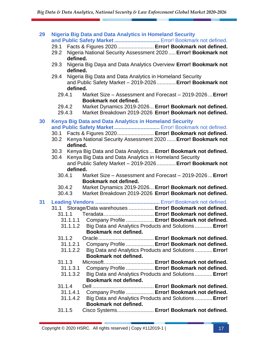| 29 | <b>Nigeria Big Data and Data Analytics in Homeland Security</b><br>and Public Safety Market  Error! Bookmark not defined.                       |
|----|-------------------------------------------------------------------------------------------------------------------------------------------------|
|    | Facts & Figures 2020 Error! Bookmark not defined.<br>29.1<br>Nigeria National Security Assessment 2020  Error! Bookmark not<br>29.2<br>defined. |
|    | Nigeria Big Daya and Data Analytics Overview Error! Bookmark not<br>29.3<br>defined.                                                            |
|    | Nigeria Big Data and Data Analytics in Homeland Security<br>29.4<br>and Public Safety Market - 2019-2026 Error! Bookmark not<br>defined.        |
|    | 29.4.1<br>Market Size - Assessment and Forecast - 2019-2026 Error!<br>Bookmark not defined.                                                     |
|    | Market Dynamics 2019-2026 Error! Bookmark not defined.<br>29.4.2<br>Market Breakdown 2019-2026 Error! Bookmark not defined.<br>29.4.3           |
| 30 | <b>Kenya Big Data and Data Analytics in Homeland Security</b>                                                                                   |
|    | and Public Safety Market  Error! Bookmark not defined.<br>30.1 Facts & Figures 2020 Error! Bookmark not defined.                                |
|    | Kenya National Security Assessment 2020  Error! Bookmark not<br>30.2<br>defined.                                                                |
|    | 30.3<br>Kenya Big Data and Data Analytics  Error! Bookmark not defined.                                                                         |
|    | Kenya Big Data and Data Analytics in Homeland Security<br>30.4<br>and Public Safety Market - 2019-2026  Error! Bookmark not                     |
|    | defined.                                                                                                                                        |
|    | Market Size - Assessment and Forecast - 2019-2026 Error!<br>30.4.1<br>Bookmark not defined.                                                     |
|    | Market Dynamics 2019-2026 Error! Bookmark not defined.<br>30.4.2                                                                                |
|    | 30.4.3<br>Market Breakdown 2019-2026 Error! Bookmark not defined.                                                                               |
| 31 | 31.1 Storage/Data warehouses  Error! Bookmark not defined.                                                                                      |
|    |                                                                                                                                                 |
|    | 31.1.1.1 Company Profile  Error! Bookmark not defined.                                                                                          |
|    | 31.1.1.2 Big Data and Analytics Products and Solutions  Error!<br>Bookmark not defined.                                                         |
|    | 31.1.2                                                                                                                                          |
|    | Company Profile  Error! Bookmark not defined.<br>31.1.2.1<br>Big Data and Analytics Products and Solutions Error!<br>31.1.2.2                   |
|    | Bookmark not defined.                                                                                                                           |
|    | 31.1.3                                                                                                                                          |
|    | Company Profile  Error! Bookmark not defined.<br>31.1.3.1                                                                                       |
|    | 31.1.3.2<br>Big Data and Analytics Products and Solutions Error!<br>Bookmark not defined.                                                       |
|    | 31.1.4                                                                                                                                          |
|    | Company Profile  Error! Bookmark not defined.<br>31.1.4.1                                                                                       |
|    | 31.1.4.2<br>Big Data and Analytics Products and Solutions Error!                                                                                |

- **Bookmark not defined.**
- 31.1.5 Cisco Systems......................... **Error! Bookmark not defined.**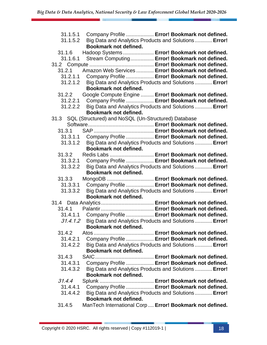| 31.1.5.2 | 31.1.5.1 Company Profile  Error! Bookmark not defined.<br>Big Data and Analytics Products and Solutions Error! |
|----------|----------------------------------------------------------------------------------------------------------------|
|          | Bookmark not defined.                                                                                          |
| 31.1.6   | Hadoop Systems  Error! Bookmark not defined.                                                                   |
| 31.1.6.1 | Stream Computing Error! Bookmark not defined.                                                                  |
|          |                                                                                                                |
| 31.2.1   | Amazon Web Services  Error! Bookmark not defined.                                                              |
|          | 31.2.1.1 Company Profile  Error! Bookmark not defined.                                                         |
| 31.2.1.2 | Big Data and Analytics Products and Solutions  Error!                                                          |
|          | Bookmark not defined.                                                                                          |
| 31.2.2   | Google Compute Engine  Error! Bookmark not defined.                                                            |
| 31.2.2.1 | Company Profile  Error! Bookmark not defined.                                                                  |
| 31.2.2.2 | Big Data and Analytics Products and Solutions  Error!                                                          |
|          | Bookmark not defined.                                                                                          |
|          | 31.3 SQL (Structured) and NoSQL (Un-Structured) Database                                                       |
|          |                                                                                                                |
| 31.3.1   |                                                                                                                |
| 31.3.1.1 | Company Profile  Error! Bookmark not defined.                                                                  |
| 31.3.1.2 | Big Data and Analytics Products and Solutions  Error!                                                          |
|          | Bookmark not defined.                                                                                          |
| 31.3.2   | Redis Labs  Error! Bookmark not defined.                                                                       |
| 31.3.2.1 | Company Profile  Error! Bookmark not defined.                                                                  |
| 31.3.2.2 | Big Data and Analytics Products and Solutions  Error!                                                          |
|          | Bookmark not defined.                                                                                          |
| 31.3.3   | MongoDB  Error! Bookmark not defined.                                                                          |
| 31.3.3.1 | Company Profile  Error! Bookmark not defined.                                                                  |
| 31.3.3.2 | Big Data and Analytics Products and Solutions  Error!                                                          |
|          | Bookmark not defined.                                                                                          |
|          |                                                                                                                |
| 31.4.1   |                                                                                                                |
| 31.4.1.1 | Company Profile  Error! Bookmark not defined.                                                                  |
| 31.4.1.2 | Big Data and Analytics Products and Solutions Error!                                                           |
|          | Bookmark not defined.                                                                                          |
| 31.4.2   |                                                                                                                |
| 31.4.2.1 | Company Profile  Error! Bookmark not defined.                                                                  |
| 31.4.2.2 | Big Data and Analytics Products and Solutions  Error!                                                          |
|          | Bookmark not defined.                                                                                          |
| 31.4.3   |                                                                                                                |
| 31.4.3.1 | Company Profile  Error! Bookmark not defined.                                                                  |
| 31.4.3.2 | Big Data and Analytics Products and Solutions Error!                                                           |
|          | Bookmark not defined.                                                                                          |
| 31.4.4   |                                                                                                                |
| 31.4.4.1 | Company Profile  Error! Bookmark not defined.                                                                  |
| 31.4.4.2 | Big Data and Analytics Products and Solutions Error!                                                           |
|          | Bookmark not defined.                                                                                          |
| 31.4.5   | ManTech International Corp Error! Bookmark not defined.                                                        |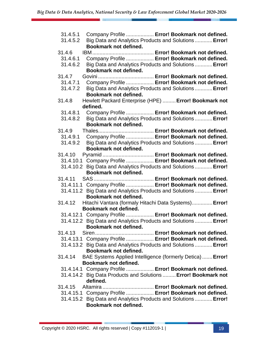| 31.4.5.1 | Company Profile  Error! Bookmark not defined.                    |
|----------|------------------------------------------------------------------|
| 31.4.5.2 | Big Data and Analytics Products and Solutions  Error!            |
|          | Bookmark not defined.                                            |
| 31.4.6   |                                                                  |
| 31.4.6.1 | Company Profile  Error! Bookmark not defined.                    |
| 31.4.6.2 | Big Data and Analytics Products and Solutions Error!             |
|          | Bookmark not defined.                                            |
| 31.4.7   |                                                                  |
| 31.4.7.1 | Company Profile  Error! Bookmark not defined.                    |
| 31.4.7.2 | Big Data and Analytics Products and Solutions Error!             |
|          | Bookmark not defined.                                            |
| 31.4.8   | Hewlett Packard Enterprise (HPE)  Error! Bookmark not            |
|          | defined.                                                         |
| 31.4.8.1 | Company Profile  Error! Bookmark not defined.                    |
| 31.4.8.2 | Big Data and Analytics Products and Solutions Error!             |
|          | <b>Bookmark not defined.</b>                                     |
| 31.4.9   |                                                                  |
| 31.4.9.1 | Company Profile  Error! Bookmark not defined.                    |
| 31.4.9.2 | Big Data and Analytics Products and Solutions Error!             |
|          | Bookmark not defined.                                            |
| 31.4.10  | Pyramid  Error! Bookmark not defined.                            |
|          | 31.4.10.1 Company Profile  Error! Bookmark not defined.          |
|          | 31.4.10.2 Big Data and Analytics Products and Solutions Error!   |
|          | Bookmark not defined.                                            |
| 31.4.11  |                                                                  |
|          | 31.4.11.1 Company Profile  Error! Bookmark not defined.          |
|          | 31.4.11.2 Big Data and Analytics Products and Solutions  Error!  |
|          | <b>Bookmark not defined.</b>                                     |
| 31.4.12  | Hitachi Vantara (formaly Hitachi Data Systems) Error!            |
|          | Bookmark not defined.                                            |
|          | 31.4.12.1 Company Profile  Error! Bookmark not defined.          |
|          | 31.4.12.2 Big Data and Analytics Products and Solutions  Error!  |
|          | <b>Bookmark not defined.</b>                                     |
| 31.4.13  |                                                                  |
|          | 31.4.13.1 Company Profile  Error! Bookmark not defined.          |
|          | 31.4.13.2 Big Data and Analytics Products and Solutions  Error!  |
|          | Bookmark not defined.                                            |
| 31.4.14  | <b>BAE Systems Applied Intelligence (formerly Detica) Error!</b> |
|          | <b>Bookmark not defined.</b>                                     |
|          | 31.4.14.1 Company Profile  Error! Bookmark not defined.          |
|          | 31.4.14.2 Big Data Products and Solutions  Error! Bookmark not   |
|          | defined.                                                         |
| 31.4.15  |                                                                  |
|          | 31.4.15.1 Company Profile  Error! Bookmark not defined.          |
|          | 31.4.15.2 Big Data and Analytics Products and Solutions  Error!  |
|          | Bookmark not defined.                                            |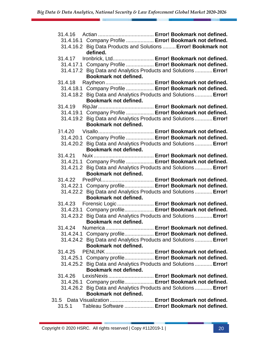| 31.4.16.1 Company Profile  Error! Bookmark not defined.                                  |
|------------------------------------------------------------------------------------------|
| 31.4.16.2 Big Data Products and Solutions  Error! Bookmark not<br>defined.               |
| Ironbrick, Ltd Error! Bookmark not defined.<br>31.4.17                                   |
| 31.4.17.1 Company Profile  Error! Bookmark not defined.                                  |
| 31.4.17.2 Big Data and Analytics Products and Solutions  Error!                          |
| Bookmark not defined.                                                                    |
| Raytheon Error! Bookmark not defined.<br>31.4.18                                         |
| 31.4.18.1 Company Profile  Error! Bookmark not defined.                                  |
| 31.4.18.2 Big Data and Analytics Products and Solutions Error!                           |
| Bookmark not defined.                                                                    |
| 31.4.19                                                                                  |
| 31.4.19.1 Company Profile  Error! Bookmark not defined.                                  |
| 31.4.19.2 Big Data and Analytics Products and Solutions  Error!                          |
| Bookmark not defined.                                                                    |
| 31.4.20                                                                                  |
| 31.4.20.1 Company Profile  Error! Bookmark not defined.                                  |
| 31.4.20.2 Big Data and Analytics Products and Solutions  Error!                          |
| Bookmark not defined.                                                                    |
| 31.4.21                                                                                  |
| 31.4.21.1 Company Profile  Error! Bookmark not defined.                                  |
| 31.4.21.2 Big Data and Analytics Products and Solutions  Error!                          |
| Bookmark not defined.                                                                    |
| 31.4.22                                                                                  |
| 31.4.22.1 Company profile Error! Bookmark not defined.                                   |
| 31.4.22.2 Big Data and Analytics Products and Solutions  Error!                          |
| Bookmark not defined.                                                                    |
| 31.4.23 Forensic Logic  Error! Bookmark not defined.                                     |
| 31.4.23.1 Company profile Error! Bookmark not defined.                                   |
| 31.4.23.2 Big Data and Analytics Products and Solutions  Error!<br>Bookmark not defined. |
| 31.4.24 Numerica  Error! Bookmark not defined.                                           |
| 31.4.24.1 Company profile Error! Bookmark not defined.                                   |
| 31.4.24.2 Big Data and Analytics Products and Solutions  Error!                          |
| Bookmark not defined.                                                                    |
| 31.4.25                                                                                  |
| 31.4.25.1 Company profile Error! Bookmark not defined.                                   |
| 31.4.25.2 Big Data and Analytics Products and Solutions Error!                           |
| Bookmark not defined.                                                                    |
| 31.4.26 LexisNexis  Error! Bookmark not defined.                                         |
| 31.4.26.1 Company profile Error! Bookmark not defined.                                   |
| 31.4.26.2 Big Data and Analytics Products and Solutions  Error!                          |
| Bookmark not defined.                                                                    |
| 31.5 Data Visualization  Error! Bookmark not defined.                                    |
| Tableau Software  Error! Bookmark not defined.<br>31.5.1                                 |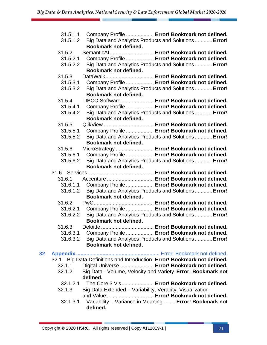|    | 31.5.1.1             | Company Profile  Error! Bookmark not defined.                                        |
|----|----------------------|--------------------------------------------------------------------------------------|
|    | 31.5.1.2             | Big Data and Analytics Products and Solutions  Error!                                |
|    |                      | Bookmark not defined.                                                                |
|    | 31.5.2               | SemanticAI  Error! Bookmark not defined.                                             |
|    | 31.5.2.1             | Company Profile  Error! Bookmark not defined.                                        |
|    | 31.5.2.2             | Big Data and Analytics Products and Solutions  Error!                                |
|    |                      | Bookmark not defined.                                                                |
|    | 31.5.3               | DataWalk Error! Bookmark not defined.                                                |
|    | 31.5.3.1<br>31.5.3.2 | Company Profile  Error! Bookmark not defined.                                        |
|    |                      | Big Data and Analytics Products and Solutions Error!<br><b>Bookmark not defined.</b> |
|    | 31.5.4               | TIBCO Software  Error! Bookmark not defined.                                         |
|    | 31.5.4.1             | Company Profile  Error! Bookmark not defined.                                        |
|    | 31.5.4.2             | Big Data and Analytics Products and Solutions  Error!                                |
|    |                      | Bookmark not defined.                                                                |
|    | 31.5.5               | QlikView  Error! Bookmark not defined.                                               |
|    | 31.5.5.1             | Company Profile  Error! Bookmark not defined.                                        |
|    | 31.5.5.2             | Big Data and Analytics Products and Solutions Error!                                 |
|    |                      | Bookmark not defined.                                                                |
|    | 31.5.6               | MicroStrategy  Error! Bookmark not defined.                                          |
|    | 31.5.6.1             | Company Profile  Error! Bookmark not defined.                                        |
|    | 31.5.6.2             | Big Data and Analytics Products and Solutions  Error!                                |
|    |                      | Bookmark not defined.                                                                |
|    |                      |                                                                                      |
|    | 31.6.1               | Accenture  Error! Bookmark not defined.                                              |
|    | 31.6.1.1             | Company Profile  Error! Bookmark not defined.                                        |
|    | 31.6.1.2             | Big Data and Analytics Products and Solutions  Error!                                |
|    |                      | Bookmark not defined.                                                                |
|    | 31.6.2               |                                                                                      |
|    | 31.6.2.1             | Company Profile  Error! Bookmark not defined.                                        |
|    | 31.6.2.2             | Big Data and Analytics Products and Solutions  Error!                                |
|    |                      | Bookmark not defined.                                                                |
|    | 31.6.3               |                                                                                      |
|    | 31.6.3.1             | Company Profile  Error! Bookmark not defined.                                        |
|    | 31.6.3.2             | Big Data and Analytics Products and Solutions Error!                                 |
|    |                      | Bookmark not defined.                                                                |
| 32 |                      |                                                                                      |
|    | 32.1                 | Big Data Definitions and Introduction. Error! Bookmark not defined.                  |
|    | 32.1.1               | Digital Universe  Error! Bookmark not defined.                                       |
|    | 32.1.2               | Big Data - Volume, Velocity and Variety. Error! Bookmark not                         |
|    |                      | defined.                                                                             |
|    |                      | 32.1.2.1 The Core 3 V's Error! Bookmark not defined.                                 |
|    | 32.1.3               | Big Data Extended - Variability, Veracity, Visualization                             |
|    |                      | and Value  Error! Bookmark not defined.                                              |
|    | 32.1.3.1             | Variability - Variance in Meaning Error! Bookmark not                                |
|    |                      | defined.                                                                             |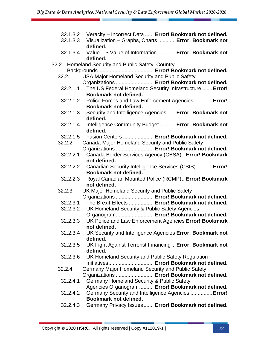- 32.1.3.2 Veracity Incorrect Data ...... **Error! Bookmark not defined.**
- 32.1.3.3 Visualization Graphs, Charts ............**Error! Bookmark not defined.**
- 32.1.3.4 Value \$ Value of Information.............**Error! Bookmark not defined.**
- 32.2 Homeland Security and Public Safety Country
	- Backgrounds...................................... **Error! Bookmark not defined.** 32.2.1 USA Major Homeland Security and Public Safety
	- Organizations .......................... **Error! Bookmark not defined.**
	- 32.2.1.1 The US Federal Homeland Security Infrastructure .......**Error! Bookmark not defined.**
	- 32.2.1.2 Police Forces and Law Enforcement Agencies.............**Error! Bookmark not defined.**
	- 32.2.1.3 Security and Intelligence Agencies ......**Error! Bookmark not defined.**
	- 32.2.1.4 Intelligence Community Budget ...........**Error! Bookmark not defined.**
	- 32.2.1.5 Fusion Centers ..................... **Error! Bookmark not defined.**
	- 32.2.2 Canada Major Homeland Security and Public Safety
		- Organizations .......................... **Error! Bookmark not defined.**
	- 32.2.2.1 Canada Border Services Agency (CBSA).. **Error! Bookmark not defined.**
	- 32.2.2.2 Canadian Security Intelligence Services (CSIS)...........**Error! Bookmark not defined.**
	- 32.2.2.3 Royal Canadian Mounted Police (RCMP).. **Error! Bookmark not defined.**
	- 32.2.3 UK Major Homeland Security and Public Safety Organizations .......................... **Error! Bookmark not defined.**
	- 32.2.3.1 The Brexit Effects ................. **Error! Bookmark not defined.**
	- 32.2.3.2 UK Homeland Security & Public Safety Agencies
	- Organogram.......................... **Error! Bookmark not defined.**
	- 32.2.3.3 UK Police and Law Enforcement Agencies **Error! Bookmark not defined.**
	- 32.2.3.4 UK Security and Intelligence Agencies **Error! Bookmark not defined.**
	- 32.2.3.5 UK Fight Against Terrorist Financing ...**Error! Bookmark not defined.**
	- 32.2.3.6 UK Homeland Security and Public Safety Regulation Initiatives............................... **Error! Bookmark not defined.**
	- 32.2.4 Germany Major Homeland Security and Public Safety
	- Organizations .......................... **Error! Bookmark not defined.** 32.2.4.1 Germany Homeland Security & Public Safety
	- Agencies Organogram.......... **Error! Bookmark not defined.** 32.2.4.2 Germany Security and Intelligence Agencies ...............**Error! Bookmark not defined.**
	- 32.2.4.3 Germany Privacy Issues....... **Error! Bookmark not defined.**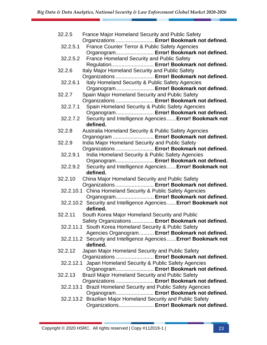| 32.2.5   | <b>France Major Homeland Security and Public Safety</b>                                                     |
|----------|-------------------------------------------------------------------------------------------------------------|
|          | Organizations  Error! Bookmark not defined.                                                                 |
| 32.2.5.1 | France Counter Terror & Public Safety Agencies                                                              |
|          | Organogram Error! Bookmark not defined.                                                                     |
| 32.2.5.2 | France Homeland Security and Public Safety                                                                  |
|          | Regulation Error! Bookmark not defined.                                                                     |
| 32.2.6   | Italy Major Homeland Security and Public Safety                                                             |
|          | Organizations  Error! Bookmark not defined.                                                                 |
| 32.2.6.1 | Italy Homeland Security & Public Safety Agencies                                                            |
|          | Organogram Error! Bookmark not defined.                                                                     |
| 32.2.7   | Spain Major Homeland Security and Public Safety                                                             |
|          | Organizations  Error! Bookmark not defined.                                                                 |
| 32.2.7.1 | Spain Homeland Security & Public Safety Agencies                                                            |
|          | Organogram Error! Bookmark not defined.                                                                     |
| 32.2.7.2 | Security and Intelligence Agencies  Error! Bookmark not                                                     |
|          | defined.                                                                                                    |
| 32.2.8   | Australia Homeland Security & Public Safety Agencies                                                        |
|          | Organogram  Error! Bookmark not defined.                                                                    |
| 32.2.9   | India Major Homeland Security and Public Safety                                                             |
|          | Organizations  Error! Bookmark not defined.                                                                 |
| 32.2.9.1 | India Homeland Security & Public Safety Agencies                                                            |
|          | Organogram Error! Bookmark not defined.                                                                     |
| 32.2.9.2 | Security and Intelligence Agencies  Error! Bookmark not                                                     |
|          |                                                                                                             |
|          | defined.                                                                                                    |
| 32.2.10  | China Major Homeland Security and Public Safety                                                             |
|          | Organizations  Error! Bookmark not defined.                                                                 |
|          | 32.2.10.1 China Homeland Security & Public Safety Agencies                                                  |
|          | Organogram Error! Bookmark not defined.                                                                     |
|          | 32.2.10.2 Security and Intelligence Agencies  Error! Bookmark not                                           |
|          | defined.                                                                                                    |
| 32.2.11  | South Korea Major Homeland Security and Public                                                              |
|          | Safety Organizations  Error! Bookmark not defined.                                                          |
|          | 32.2.11.1 South Korea Homeland Security & Public Safety                                                     |
|          | Agencies Organogram  Error! Bookmark not defined.                                                           |
|          | 32.2.11.2 Security and Intelligence Agencies  Error! Bookmark not                                           |
|          | defined.                                                                                                    |
| 32.2.12  | Japan Major Homeland Security and Public Safety                                                             |
|          | Organizations  Error! Bookmark not defined.                                                                 |
|          | 32.2.12.1 Japan Homeland Security & Public Safety Agencies                                                  |
|          | Organogram Error! Bookmark not defined.                                                                     |
| 32.2.13  | Brazil Major Homeland Security and Public Safety                                                            |
|          | Organizations  Error! Bookmark not defined.                                                                 |
|          | 32.2.13.1 Brazil Homeland Security and Public Safety Agencies                                               |
|          | Organogram Error! Bookmark not defined.                                                                     |
|          | 32.2.13.2 Brazilian Major Homeland Security and Public Safety<br>Organizations Error! Bookmark not defined. |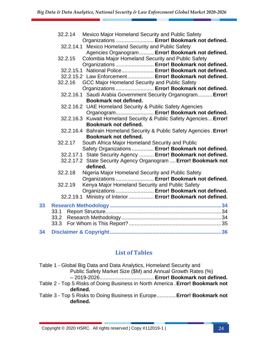|    | Mexico Major Homeland Security and Public Safety<br>32.2.14<br>Organizations  Error! Bookmark not defined. |
|----|------------------------------------------------------------------------------------------------------------|
|    | 32.2.14.1 Mexico Homeland Security and Public Safety                                                       |
|    | Agencies Organogram  Error! Bookmark not defined.                                                          |
|    | Colombia Major Homeland Security and Public Safety<br>32.2.15                                              |
|    | Organizations  Error! Bookmark not defined.                                                                |
|    | 32.2.15.1 National Police Error! Bookmark not defined.                                                     |
|    | 32.2.15.2 Law Enforcement Error! Bookmark not defined.                                                     |
|    | GCC Major Homeland Security and Public Safety<br>32.2.16                                                   |
|    | Organizations  Error! Bookmark not defined.                                                                |
|    | 32.2.16.1 Saudi Arabia Government Security Organogram Error!                                               |
|    | Bookmark not defined.                                                                                      |
|    | 32.2.16.2 UAE Homeland Security & Public Safety Agencies                                                   |
|    | Organogram Error! Bookmark not defined.                                                                    |
|    | 32.2.16.3 Kuwait Homeland Security & Public Safety Agencies Error!                                         |
|    | Bookmark not defined.                                                                                      |
|    | 32.2.16.4 Bahrain Homeland Security & Public Safety Agencies. Error!                                       |
|    | Bookmark not defined.                                                                                      |
|    | South Africa Major Homeland Security and Public<br>32.2.17                                                 |
|    | Safety Organizations  Error! Bookmark not defined.                                                         |
|    | 32.2.17.1 State Security Agency  Error! Bookmark not defined.                                              |
|    | 32.2.17.2 State Security Agency Organogram  Error! Bookmark not<br>defined.                                |
|    | Nigeria Major Homeland Security and Public Safety<br>32.2.18                                               |
|    | Organizations  Error! Bookmark not defined.                                                                |
|    | Kenya Major Homeland Security and Public Safety<br>32.2.19                                                 |
|    | Organizations  Error! Bookmark not defined.                                                                |
|    | 32.2.19.1 Ministry of Interior  Error! Bookmark not defined.                                               |
| 33 |                                                                                                            |
|    | 33.1                                                                                                       |
|    | 33.2                                                                                                       |
|    |                                                                                                            |
| 34 |                                                                                                            |

#### **List of Tables**

| Table 1 - Global Big Data and Data Analytics, Homeland Security and            |
|--------------------------------------------------------------------------------|
| Public Safety Market Size (\$M) and Annual Growth Rates (%)                    |
|                                                                                |
| Table 2 - Top 5 Risks of Doing Business in North America . Error! Bookmark not |
| defined.                                                                       |
| Table 3 - Top 5 Risks to Doing Business in Europe Error! Bookmark not          |
| defined.                                                                       |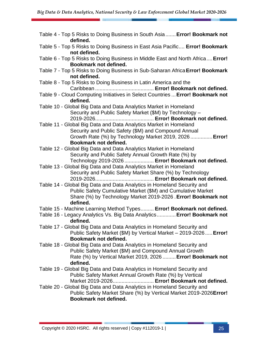| Table 4 - Top 5 Risks to Doing Business in South Asia  Error! Bookmark not<br>defined.                                                                                                                              |
|---------------------------------------------------------------------------------------------------------------------------------------------------------------------------------------------------------------------|
| Table 5 - Top 5 Risks to Doing Business in East Asia Pacific Error! Bookmark<br>not defined.                                                                                                                        |
| Table 6 - Top 5 Risks to Doing Business in Middle East and North Africa Error!<br>Bookmark not defined.                                                                                                             |
| Table 7 - Top 5 Risks to Doing Business in Sub-Saharan Africa Error! Bookmark<br>not defined.                                                                                                                       |
| Table 8 - Top 5 Risks to Doing Business in Latin America and the                                                                                                                                                    |
| Table 9 - Cloud Computing Initiatives in Select Countries  Error! Bookmark not<br>defined.                                                                                                                          |
| Table 10 - Global Big Data and Data Analytics Market in Homeland<br>Security and Public Safety Market (\$M) by Technology -                                                                                         |
| Table 11 - Global Big Data and Data Analytics Market in Homeland<br>Security and Public Safety (\$M) and Compound Annual<br>Growth Rate (%) by Technology Market 2019, 2026  Error!                                 |
| Bookmark not defined.<br>Table 12 - Global Big Data and Data Analytics Market in Homeland<br>Security and Public Safety Annual Growth Rate (%) by<br>Technology 2019-2026  Error! Bookmark not defined.             |
| Table 13 - Global Big Data and Data Analytics Market in Homeland<br>Security and Public Safety Market Share (%) by Technology                                                                                       |
| Table 14 - Global Big Data and Data Analytics in Homeland Security and<br>Public Safety Cumulative Market (\$M) and Cumulative Market<br>Share (%) by Technology Market 2019-2026 . Error! Bookmark not<br>defined. |
| Table 15 - Machine Learning Method Types Error! Bookmark not defined.                                                                                                                                               |
| Table 16 - Legacy Analytics Vs. Big Data Analytics Error! Bookmark not<br>defined.                                                                                                                                  |
| Table 17 - Global Big Data and Data Analytics in Homeland Security and<br>Public Safety Market (\$M) by Vertical Market - 2019-2026 Error!<br>Bookmark not defined.                                                 |
| Table 18 - Global Big Data and Data Analytics in Homeland Security and<br>Public Safety Market (\$M) and Compound Annual Growth<br>Rate (%) by Vertical Market 2019, 2026  Error! Bookmark not<br>defined.          |
| Table 19 - Global Big Data and Data Analytics in Homeland Security and<br>Public Safety Market Annual Growth Rate (%) by Vertical<br>Market 2019-2026 Error! Bookmark not defined.                                  |
| Table 20 - Global Big Data and Data Analytics in Homeland Security and<br>Public Safety Market Share (%) by Vertical Market 2019-2026 Error!<br>Bookmark not defined.                                               |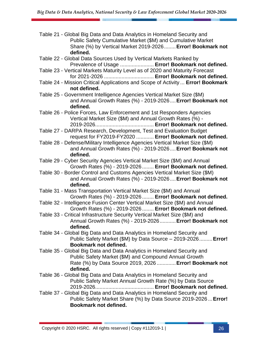| Table 21 - Global Big Data and Data Analytics in Homeland Security and |
|------------------------------------------------------------------------|
| Public Safety Cumulative Market (\$M) and Cumulative Market            |
| Share (%) by Vertical Market 2019-2026 Error! Bookmark not             |
| defined.                                                               |

- Table 22 Global Data Sources Used by Vertical Markets Ranked by Prevalence of Usage ....................... **Error! Bookmark not defined.**
- Table 23 Vertical Markets Maturity Level as of 2020 and Maturity Forecast for 2021-2026 .................................. **Error! Bookmark not defined.**
- Table 24 Mission Critical Applications and Scope of Activity ... **Error! Bookmark not defined.**
- Table 25 Government Intelligence Agencies Vertical Market Size (\$M) and Annual Growth Rates (%) - 2019-2026....**Error! Bookmark not defined.**
- Table 26 Police Forces, Law Enforcement and 1st Responders Agencies Vertical Market Size (\$M) and Annual Growth Rates (%) - 2019-2026........................................ **Error! Bookmark not defined.**
- Table 27 DARPA Research, Development, Test and Evaluation Budget request for FY2019-FY2020 ............ **Error! Bookmark not defined.**
- Table 28 Defense/Military Intelligence Agencies Vertical Market Size (\$M) and Annual Growth Rates (%) - 2019-2026....**Error! Bookmark not defined.**
- Table 29 Cyber Security Agencies Vertical Market Size (\$M) and Annual Growth Rates (%) - 2019-2026........ **Error! Bookmark not defined.**
- Table 30 Border Control and Customs Agencies Vertical Market Size (\$M) and Annual Growth Rates (%) - 2019-2026....**Error! Bookmark not defined.**
- Table 31 Mass Transportation Vertical Market Size (\$M) and Annual Growth Rates (%) - 2019-2026........ **Error! Bookmark not defined.**
- Table 32 Intelligence Fusion Center Vertical Market Size (\$M) and Annual Growth Rates (%) - 2019-2026........ **Error! Bookmark not defined.**
- Table 33 Critical Infrastructure Security Vertical Market Size (\$M) and Annual Growth Rates (%) - 2019-2026...........**Error! Bookmark not defined.**
- Table 34 Global Big Data and Data Analytics in Homeland Security and Public Safety Market (\$M) by Data Source – 2019-2026.........**Error! Bookmark not defined.**
- Table 35 Global Big Data and Data Analytics in Homeland Security and Public Safety Market (\$M) and Compound Annual Growth Rate (%) by Data Source 2019, 2026 .............**Error! Bookmark not defined.**
- Table 36 Global Big Data and Data Analytics in Homeland Security and Public Safety Market Annual Growth Rate (%) by Data Source 2019-2026........................................ **Error! Bookmark not defined.**
- Table 37 Global Big Data and Data Analytics in Homeland Security and Public Safety Market Share (%) by Data Source 2019-2026 ...**Error! Bookmark not defined.**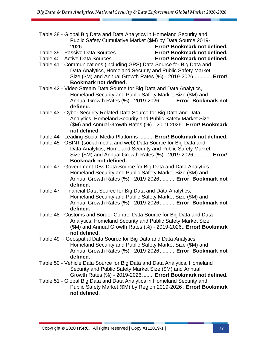| Table 38 - Global Big Data and Data Analytics in Homeland Security and<br>Public Safety Cumulative Market (\$M) by Data Source 2019-                                                                                       |
|----------------------------------------------------------------------------------------------------------------------------------------------------------------------------------------------------------------------------|
| Table 39 - Passive Data Sources Error! Bookmark not defined.                                                                                                                                                               |
| Table 40 - Active Data Sources  Error! Bookmark not defined.                                                                                                                                                               |
| Table 41 - Communications (including GPS) Data Source for Big Data and<br>Data Analytics, Homeland Security and Public Safety Market<br>Size (\$M) and Annual Growth Rates (%) - 2019-2026 Error!<br>Bookmark not defined. |
| Table 42 - Video Stream Data Source for Big Data and Data Analytics,<br>Homeland Security and Public Safety Market Size (\$M) and<br>Annual Growth Rates (%) - 2019-2026 Error! Bookmark not<br>defined.                   |
| Table 43 - Cyber Security Related Data Source for Big Data and Data<br>Analytics, Homeland Security and Public Safety Market Size<br>(\$M) and Annual Growth Rates (%) - 2019-2026 Error! Bookmark<br>not defined.         |
| Table 44 - Leading Social Media Platforms  Error! Bookmark not defined.                                                                                                                                                    |
| Table 45 - OSINT (social media and web) Data Source for Big Data and<br>Data Analytics, Homeland Security and Public Safety Market<br>Size (\$M) and Annual Growth Rates (%) - 2019-2026 Error!<br>Bookmark not defined.   |
| Table 47 - Government DBs Data Source for Big Data and Data Analytics,<br>Homeland Security and Public Safety Market Size (\$M) and<br>Annual Growth Rates (%) - 2019-2026 Error! Bookmark not<br>defined.                 |
| Table 47 - Financial Data Source for Big Data and Data Analytics,<br>Homeland Security and Public Safety Market Size (\$M) and<br>Annual Growth Rates (%) - 2019-2026 Error! Bookmark not<br>defined.                      |
| Table 48 - Customs and Border Control Data Source for Big Data and Data<br>Analytics, Homeland Security and Public Safety Market Size<br>(\$M) and Annual Growth Rates (%) - 2019-2026 Error! Bookmark<br>not defined.     |
| Table 49 - Geospatial Data Source for Big Data and Data Analytics,<br>Homeland Security and Public Safety Market Size (\$M) and<br>Annual Growth Rates (%) - 2019-2026 Error! Bookmark not<br>defined.                     |
| Table 50 - Vehicle Data Source for Big Data and Data Analytics, Homeland<br>Security and Public Safety Market Size (\$M) and Annual<br>Growth Rates (%) - 2019-2026  Error! Bookmark not defined.                          |
| Table 51 - Global Big Data and Data Analytics in Homeland Security and<br>Public Safety Market (\$M) by Region 2019-2026. Error! Bookmark<br>not defined.                                                                  |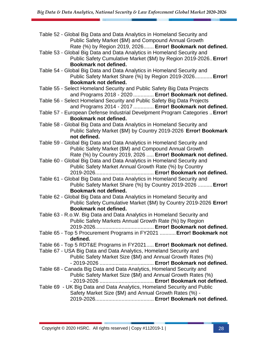| Table 52 - Global Big Data and Data Analytics in Homeland Security and<br>Public Safety Market (\$M) and Compound Annual Growth                                                                                                    |
|------------------------------------------------------------------------------------------------------------------------------------------------------------------------------------------------------------------------------------|
| Rate (%) by Region 2019, 2026 Error! Bookmark not defined.<br>Table 53 - Global Big Data and Data Analytics in Homeland Security and<br>Public Safety Cumulative Market (\$M) by Region 2019-2026. Error!<br>Bookmark not defined. |
| Table 54 - Global Big Data and Data Analytics in Homeland Security and<br>Public Safety Market Share (%) by Region 2019-2026 Error!<br>Bookmark not defined.                                                                       |
| Table 55 - Select Homeland Security and Public Safety Big Data Projects<br>and Programs 2018 - 2020  Error! Bookmark not defined.                                                                                                  |
| Table 56 - Select Homeland Security and Public Safety Big Data Projects<br>and Programs 2014 - 2017  Error! Bookmark not defined.                                                                                                  |
| Table 57 - European Defense Industrial Develpment Program Categories  Error!<br>Bookmark not defined.                                                                                                                              |
| Table 58 - Global Big Data and Data Analytics in Homeland Security and<br>Public Safety Market (\$M) by Country 2019-2026 Error! Bookmark<br>not defined.                                                                          |
| Table 59 - Global Big Data and Data Analytics in Homeland Security and<br>Public Safety Market (\$M) and Compound Annual Growth<br>Rate (%) by Country 2019, 2026  Error! Bookmark not defined.                                    |
| Table 60 - Global Big Data and Data Analytics in Homeland Security and<br>Public Safety Market Annual Growth Rate (%) by Country                                                                                                   |
| Table 61 - Global Big Data and Data Analytics in Homeland Security and<br>Public Safety Market Share (%) by Country 2019-2026  Error!<br><b>Bookmark not defined.</b>                                                              |
| Table 62 - Global Big Data and Data Analytics in Homeland Security and<br>Public Safety Cumulative Market (\$M) by Country 2019-2026 Error!<br>Bookmark not defined.                                                               |
| Table 63 - R.o.W. Big Data and Data Analytics in Homeland Security and<br>Public Safety Markets Annual Growth Rate (%) by Region                                                                                                   |
| Table 65 - Top 5 Procurement Programs in FY2021  Error! Bookmark not<br>defined.                                                                                                                                                   |
| Table 66 - Top 5 RDT&E Programs in FY2021 Error! Bookmark not defined.                                                                                                                                                             |
| Table 67 - USA Big Data and Data Analytics, Homeland Security and<br>Public Safety Market Size (\$M) and Annual Growth Rates (%)                                                                                                   |
| Table 68 - Canada Big Data and Data Analytics, Homeland Security and<br>Public Safety Market Size (\$M) and Annual Growth Rates (%)                                                                                                |
| Table 69 - UK Big Data and Data Analytics, Homeland Security and Public<br>Safety Market Size (\$M) and Annual Growth Rates (%) -                                                                                                  |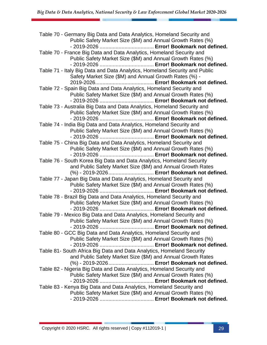| Table 70 - Germany Big Data and Data Analytics, Homeland Security and<br>Public Safety Market Size (\$M) and Annual Growth Rates (%) |
|--------------------------------------------------------------------------------------------------------------------------------------|
|                                                                                                                                      |
| Table 70 - France Big Data and Data Analytics, Homeland Security and                                                                 |
| Public Safety Market Size (\$M) and Annual Growth Rates (%)                                                                          |
|                                                                                                                                      |
| Table 71 - Italy Big Data and Data Analytics, Homeland Security and Public                                                           |
| Safety Market Size (\$M) and Annual Growth Rates (%) -                                                                               |
|                                                                                                                                      |
| Table 72 - Spain Big Data and Data Analytics, Homeland Security and                                                                  |
| Public Safety Market Size (\$M) and Annual Growth Rates (%)                                                                          |
|                                                                                                                                      |
| Table 73 - Australia Big Data and Data Analytics, Homeland Security and                                                              |
| Public Safety Market Size (\$M) and Annual Growth Rates (%)                                                                          |
|                                                                                                                                      |
| Table 74 - India Big Data and Data Analytics, Homeland Security and                                                                  |
| Public Safety Market Size (\$M) and Annual Growth Rates (%)                                                                          |
|                                                                                                                                      |
| Table 75 - China Big Data and Data Analytics, Homeland Security and                                                                  |
| Public Safety Market Size (\$M) and Annual Growth Rates (%)                                                                          |
|                                                                                                                                      |
| Table 76 - South Korea Big Data and Data Analytics, Homeland Security                                                                |
| and Public Safety Market Size (\$M) and Annual Growth Rates                                                                          |
| (%) - 2019-2026 Error! Bookmark not defined.                                                                                         |
| Table 77 - Japan Big Data and Data Analytics, Homeland Security and                                                                  |
| Public Safety Market Size (\$M) and Annual Growth Rates (%)                                                                          |
|                                                                                                                                      |
| Table 78 - Brazil Big Data and Data Analytics, Homeland Security and                                                                 |
| Public Safety Market Size (\$M) and Annual Growth Rates (%)                                                                          |
|                                                                                                                                      |
| Table 79 - Mexico Big Data and Data Analytics, Homeland Security and                                                                 |
| Public Safety Market Size (\$M) and Annual Growth Rates (%)                                                                          |
|                                                                                                                                      |
| Table 80 - GCC Big Data and Data Analytics, Homeland Security and                                                                    |
| Public Safety Market Size (\$M) and Annual Growth Rates (%)                                                                          |
|                                                                                                                                      |
| Table 81- South Africa Big Data and Data Analytics, Homeland Security                                                                |
| and Public Safety Market Size (\$M) and Annual Growth Rates                                                                          |
| (%) - 2019-2026 Error! Bookmark not defined.                                                                                         |
| Table 82 - Nigeria Big Data and Data Analytics, Homeland Security and<br>Public Safety Market Size (\$M) and Annual Growth Rates (%) |
|                                                                                                                                      |
| Table 83 - Kenya Big Data and Data Analytics, Homeland Security and                                                                  |
| Public Safety Market Size (\$M) and Annual Growth Rates (%)                                                                          |
|                                                                                                                                      |
|                                                                                                                                      |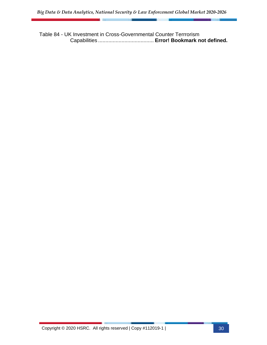Table 84 - UK Investment in Cross-Governmental Counter Terrrorism Capabilities ...................................... **Error! Bookmark not defined.**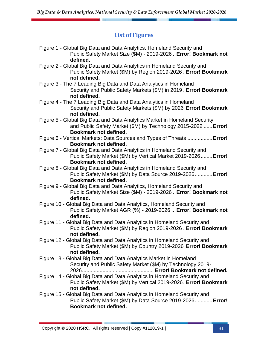### **List of Figures**

| Figure 1 - Global Big Data and Data Analytics, Homeland Security and<br>Public Safety Market Size (\$M) - 2019-2026  Error! Bookmark not<br>defined.                 |
|----------------------------------------------------------------------------------------------------------------------------------------------------------------------|
| Figure 2 - Global Big Data and Data Analytics in Homeland Security and<br>Public Safety Market (\$M) by Region 2019-2026. Error! Bookmark<br>not defined.            |
| Figure 3 - The 7 Leading Big Data and Data Analytics in Homeland<br>Security and Public Safety Markets (\$M) in 2019. Error! Bookmark<br>not defined.                |
| Figure 4 - The 7 Leading Big Data and Data Analytics in Homeland<br>Security and Public Safety Markets (\$M) by 2026 Error! Bookmark<br>not defined.                 |
| Figure 5 - Global Big Data and Data Analytics Market in Homeland Security<br>and Public Safety Market (\$M) by Technology 2015-2022  Error!<br>Bookmark not defined. |
| Figure 6 - Vertical Markets: Data Sources and Types of Threats  Error!<br>Bookmark not defined.                                                                      |
| Figure 7 - Global Big Data and Data Analytics in Homeland Security and<br>Public Safety Market (\$M) by Vertical Market 2019-2026 Error!<br>Bookmark not defined.    |
| Figure 8 - Global Big Data and Data Analytics in Homeland Security and<br>Public Safety Market (\$M) by Data Source 2019-2026 Error!<br>Bookmark not defined.        |
| Figure 9 - Global Big Data and Data Analytics, Homeland Security and<br>Public Safety Market Size (\$M) - 2019-2026  Error! Bookmark not<br>defined.                 |
| Figure 10 - Global Big Data and Data Analytics, Homeland Security and<br>Public Safety Market AGR (%) - 2019-2026  Error! Bookmark not<br>defined.                   |
| Figure 11 - Global Big Data and Data Analytics in Homeland Security and<br>Public Safety Market (\$M) by Region 2019-2026. Error! Bookmark<br>not defined.           |
| Figure 12 - Global Big Data and Data Analytics in Homeland Security and<br>Public Safety Market (\$M) by Country 2019-2026 Error! Bookmark<br>not defined.           |
| Figure 13 - Global Big Data and Data Analytics Market in Homeland<br>Security and Public Safety Market (\$M) by Technology 2019-                                     |
| Figure 14 - Global Big Data and Data Analytics in Homeland Security and<br>Public Safety Market (\$M) by Vertical 2019-2026. Error! Bookmark<br>not defined.         |
| Figure 15 - Global Big Data and Data Analytics in Homeland Security and<br>Public Safety Market (\$M) by Data Source 2019-2026 Error!<br>Bookmark not defined.       |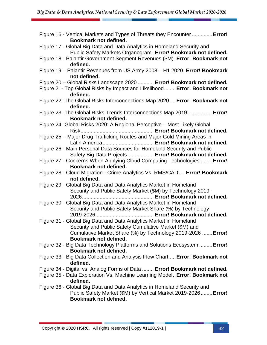| Figure 16 - Vertical Markets and Types of Threats they Encounter  Error!<br>Bookmark not defined.                                         |
|-------------------------------------------------------------------------------------------------------------------------------------------|
| Figure 17 - Global Big Data and Data Analytics in Homeland Security and<br>Public Safety Markets Organogram. Error! Bookmark not defined. |
| Figure 18 - Palantir Government Segment Revenues (\$M). Error! Bookmark not<br>defined.                                                   |
| Figure 19 - Palantir Revenues from US Army 2008 - H1 2020. Error! Bookmark<br>not defined.                                                |
| Figure 20 - Global Risks Landscape 2020  Error! Bookmark not defined.                                                                     |
| Figure 21- Top Global Risks by Impact and Likelihood Error! Bookmark not<br>defined.                                                      |
| Figure 22- The Global Risks Interconnections Map 2020  Error! Bookmark not<br>defined.                                                    |
| Figure 23- The Global Risks-Trends Interconnections Map 2019 Error!<br>Bookmark not defined.                                              |
| Figure 24- Global Risks 2020: A Regional Perceptive - Most Likely Global                                                                  |
| Figure 25 - Major Drug Trafficking Routes and Major Gold Mining Areas in<br>Latin America Error! Bookmark not defined.                    |
| Figure 26 - Main Personal Data Sources for Homeland Security and Public<br>Safety Big Data Projects  Error! Bookmark not defined.         |
| Figure 27 - Concerns When Applying Cloud Computing Technologies  Error!<br>Bookmark not defined.                                          |
| Figure 28 - Cloud Migration - Crime Analytics Vs. RMS/CAD Error! Bookmark<br>not defined.                                                 |
| Figure 29 - Global Big Data and Data Analytics Market in Homeland<br>Security and Public Safety Market (\$M) by Technology 2019-          |
|                                                                                                                                           |
| Figure 30 - Global Big Data and Data Analytics Market in Homeland<br>Security and Public Safety Market Share (%) by Technology            |
|                                                                                                                                           |
| Figure 31 - Global Big Data and Data Analytics Market in Homeland                                                                         |
| Security and Public Safety Cumulative Market (\$M) and                                                                                    |
| Cumulative Market Share (%) by Technology 2019-2026  Error!<br>Bookmark not defined.                                                      |
| Figure 32 - Big Data Technology Platforms and Solutions Ecosystem  Error!<br>Bookmark not defined.                                        |
| Figure 33 - Big Data Collection and Analysis Flow Chart Error! Bookmark not<br>defined.                                                   |
| Figure 34 - Digital vs. Analog Forms of Data  Error! Bookmark not defined.                                                                |
| Figure 35 - Data Exploration Vs. Machine Learning Model Error! Bookmark not<br>defined.                                                   |
| Figure 36 - Global Big Data and Data Analytics in Homeland Security and                                                                   |
| Public Safety Market (\$M) by Vertical Market 2019-2026 Error!                                                                            |
| Bookmark not defined.                                                                                                                     |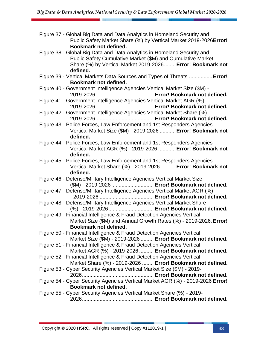| Figure 37 - Global Big Data and Data Analytics in Homeland Security and<br>Public Safety Market Share (%) by Vertical Market 2019-2026 Error! |
|-----------------------------------------------------------------------------------------------------------------------------------------------|
| Bookmark not defined.                                                                                                                         |
| Figure 38 - Global Big Data and Data Analytics in Homeland Security and<br>Public Safety Cumulative Market (\$M) and Cumulative Market        |
| Share (%) by Vertical Market 2019-2026 Error! Bookmark not                                                                                    |
| defined.                                                                                                                                      |
| Figure 39 - Vertical Markets Data Sources and Types of Threats  Error!                                                                        |
| Bookmark not defined.                                                                                                                         |
| Figure 40 - Government Intelligence Agencies Vertical Market Size (\$M) -                                                                     |
|                                                                                                                                               |
| Figure 41 - Government Intelligence Agencies Vertical Market AGR (%) -                                                                        |
|                                                                                                                                               |
| Figure 42 - Government Intelligence Agencies Vertical Market Share (%) -                                                                      |
|                                                                                                                                               |
| Figure 43 - Police Forces, Law Enforcement and 1st Responders Agencies                                                                        |
| Vertical Market Size (\$M) - 2019-2026  Error! Bookmark not                                                                                   |
| defined.                                                                                                                                      |
| Figure 44 - Police Forces, Law Enforcement and 1st Responders Agencies                                                                        |
| Vertical Market AGR (%) - 2019-2026  Error! Bookmark not<br>defined.                                                                          |
|                                                                                                                                               |
| Figure 45 - Police Forces, Law Enforcement and 1st Responders Agencies<br>Vertical Market Share (%) - 2019-2026  Error! Bookmark not          |
| defined.                                                                                                                                      |
| Figure 46 - Defense/Military Intelligence Agencies Vertical Market Size                                                                       |
| (\$M) - 2019-2026  Error! Bookmark not defined.                                                                                               |
| Figure 47 - Defense/Military Intelligence Agencies Vertical Market AGR (%)                                                                    |
|                                                                                                                                               |
| Figure 48 - Defense/Military Intelligence Agencies Vertical Market Share                                                                      |
| (%) - 2019-2026 Error! Bookmark not defined.                                                                                                  |
| Figure 49 - Financial Intelligence & Fraud Detection Agencies Vertical                                                                        |
| Market Size (\$M) and Annual Growth Rates (%) - 2019-2026. Error!                                                                             |
| <b>Bookmark not defined.</b>                                                                                                                  |
| Figure 50 - Financial Intelligence & Fraud Detection Agencies Vertical                                                                        |
| Market Size (\$M) - 2019-2026  Error! Bookmark not defined.                                                                                   |
| Figure 51 - Financial Intelligence & Fraud Detection Agencies Vertical                                                                        |
| Market AGR (%) - 2019-2026  Error! Bookmark not defined.                                                                                      |
| Figure 52 - Financial Intelligence & Fraud Detection Agencies Vertical                                                                        |
| Market Share (%) - 2019-2026  Error! Bookmark not defined.                                                                                    |
| Figure 53 - Cyber Security Agencies Vertical Market Size (\$M) - 2019-                                                                        |
|                                                                                                                                               |
| Figure 54 - Cyber Security Agencies Vertical Market AGR (%) - 2019-2026 Error!                                                                |
| Bookmark not defined.                                                                                                                         |
| Figure 55 - Cyber Security Agencies Vertical Market Share (%) - 2019-                                                                         |
|                                                                                                                                               |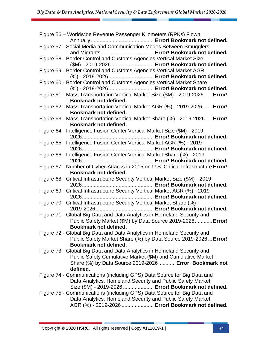| Figure 56 - Worldwide Revenue Passenger Kilometers (RPKs) Flown                                                        |
|------------------------------------------------------------------------------------------------------------------------|
|                                                                                                                        |
| Figure 57 - Social Media and Communication Modes Between Smugglers                                                     |
|                                                                                                                        |
| Figure 58 - Border Control and Customs Agencies Vertical Market Size                                                   |
| (\$M) - 2019-2026  Error! Bookmark not defined.<br>Figure 59 - Border Control and Customs Agencies Vertical Market AGR |
| (%) - 2019-2026 Error! Bookmark not defined.                                                                           |
| Figure 60 - Border Control and Customs Agencies Vertical Market Share                                                  |
| (%) - 2019-2026 Error! Bookmark not defined.                                                                           |
| Figure 61 - Mass Transportation Vertical Market Size (\$M) - 2019-2026 Error!                                          |
| Bookmark not defined.                                                                                                  |
| Figure 62 - Mass Transportation Vertical Market AGR (%) - 2019-2026 Error!                                             |
| Bookmark not defined.                                                                                                  |
| Figure 63 - Mass Transportation Vertical Market Share (%) - 2019-2026 Error!                                           |
| Bookmark not defined.                                                                                                  |
| Figure 64 - Intelligence Fusion Center Vertical Market Size (\$M) - 2019-                                              |
|                                                                                                                        |
| Figure 65 - Intelligence Fusion Center Vertical Market AGR (%) - 2019-                                                 |
| Figure 66 - Intelligence Fusion Center Vertical Market Share (%) - 2019-                                               |
|                                                                                                                        |
| Figure 67 - Number of Cyber-Attacks in 2015 on U.S. Critical Infrastructure Error!                                     |
| Bookmark not defined.                                                                                                  |
| Figure 68 - Critical Infrastructure Security Vertical Market Size (\$M) - 2019-                                        |
|                                                                                                                        |
| Figure 69 - Critical Infrastructure Security Vertical Market AGR (%) - 2019-                                           |
|                                                                                                                        |
| Figure 70 - Critical Infrastructure Security Vertical Market Share (%) -                                               |
|                                                                                                                        |
| Figure 71 - Global Big Data and Data Analytics in Homeland Security and                                                |
| Public Safety Market (\$M) by Data Source 2019-2026 Error!<br><b>Bookmark not defined.</b>                             |
| Figure 72 - Global Big Data and Data Analytics in Homeland Security and                                                |
| Public Safety Market Share (%) by Data Source 2019-2026 Error!                                                         |
|                                                                                                                        |
|                                                                                                                        |
| Bookmark not defined.                                                                                                  |
| Figure 73 - Global Big Data and Data Analytics in Homeland Security and                                                |
| Public Safety Cumulative Market (\$M) and Cumulative Market<br>Share (%) by Data Source 2019-2026 Error! Bookmark not  |
| defined.                                                                                                               |
| Figure 74 - Communications (including GPS) Data Source for Big Data and                                                |
| Data Analytics, Homeland Security and Public Safety Market                                                             |
| Size (\$M) - 2019-2026  Error! Bookmark not defined.                                                                   |
| Figure 75 - Communications (including GPS) Data Source for Big Data and                                                |
| Data Analytics, Homeland Security and Public Safety Market<br>AGR (%) - 2019-2026  Error! Bookmark not defined.        |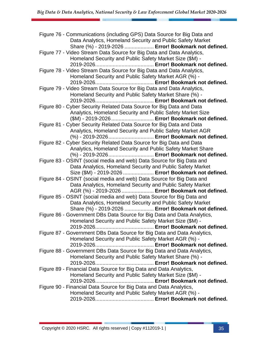| Figure 76 - Communications (including GPS) Data Source for Big Data and<br>Data Analytics, Homeland Security and Public Safety Market |
|---------------------------------------------------------------------------------------------------------------------------------------|
| Share (%) - 2019-2026  Error! Bookmark not defined.                                                                                   |
| Figure 77 - Video Stream Data Source for Big Data and Data Analytics,                                                                 |
| Homeland Security and Public Safety Market Size (\$M) -                                                                               |
|                                                                                                                                       |
| Figure 78 - Video Stream Data Source for Big Data and Data Analytics,                                                                 |
| Homeland Security and Public Safety Market AGR (%) -                                                                                  |
|                                                                                                                                       |
| Figure 79 - Video Stream Data Source for Big Data and Data Analytics,                                                                 |
| Homeland Security and Public Safety Market Share (%) -                                                                                |
|                                                                                                                                       |
| Figure 80 - Cyber Security Related Data Source for Big Data and Data                                                                  |
| Analytics, Homeland Security and Public Safety Market Size                                                                            |
| (\$M) - 2019-2026  Error! Bookmark not defined.                                                                                       |
| Figure 81 - Cyber Security Related Data Source for Big Data and Data                                                                  |
| Analytics, Homeland Security and Public Safety Market AGR                                                                             |
| (%) - 2019-2026 Error! Bookmark not defined.                                                                                          |
| Figure 82 - Cyber Security Related Data Source for Big Data and Data                                                                  |
| Analytics, Homeland Security and Public Safety Market Share                                                                           |
| (%) - 2019-2026 Error! Bookmark not defined.                                                                                          |
| Figure 83 - OSINT (social media and web) Data Source for Big Data and                                                                 |
| Data Analytics, Homeland Security and Public Safety Market                                                                            |
| Size (\$M) - 2019-2026  Error! Bookmark not defined.                                                                                  |
| Figure 84 - OSINT (social media and web) Data Source for Big Data and                                                                 |
| Data Analytics, Homeland Security and Public Safety Market                                                                            |
| AGR (%) - 2019-2026  Error! Bookmark not defined.                                                                                     |
| Figure 85 - OSINT (social media and web) Data Source for Big Data and                                                                 |
| Data Analytics, Homeland Security and Public Safety Market                                                                            |
| Share (%) - 2019-2026  Error! Bookmark not defined.                                                                                   |
| Figure 86 - Government DBs Data Source for Big Data and Data Analytics,                                                               |
| Homeland Security and Public Safety Market Size (\$M) -                                                                               |
|                                                                                                                                       |
| Figure 87 - Government DBs Data Source for Big Data and Data Analytics,                                                               |
| Homeland Security and Public Safety Market AGR (%) -                                                                                  |
|                                                                                                                                       |
| Figure 88 - Government DBs Data Source for Big Data and Data Analytics,                                                               |
| Homeland Security and Public Safety Market Share (%) -                                                                                |
|                                                                                                                                       |
| Figure 89 - Financial Data Source for Big Data and Data Analytics,                                                                    |
| Homeland Security and Public Safety Market Size (\$M) -                                                                               |
|                                                                                                                                       |
| Figure 90 - Financial Data Source for Big Data and Data Analytics,                                                                    |
| Homeland Security and Public Safety Market AGR (%) -                                                                                  |
|                                                                                                                                       |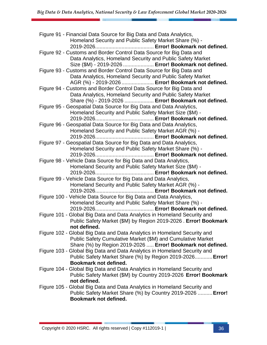| Figure 91 - Financial Data Source for Big Data and Data Analytics,                                                          |
|-----------------------------------------------------------------------------------------------------------------------------|
| Homeland Security and Public Safety Market Share (%) -                                                                      |
|                                                                                                                             |
| Figure 92 - Customs and Border Control Data Source for Big Data and                                                         |
| Data Analytics, Homeland Security and Public Safety Market                                                                  |
| Size (\$M) - 2019-2026  Error! Bookmark not defined.                                                                        |
| Figure 93 - Customs and Border Control Data Source for Big Data and                                                         |
| Data Analytics, Homeland Security and Public Safety Market                                                                  |
| AGR (%) - 2019-2026  Error! Bookmark not defined.                                                                           |
| Figure 94 - Customs and Border Control Data Source for Big Data and                                                         |
| Data Analytics, Homeland Security and Public Safety Market                                                                  |
| Share (%) - 2019-2026  Error! Bookmark not defined.                                                                         |
| Figure 95 - Geospatial Data Source for Big Data and Data Analytics,                                                         |
| Homeland Security and Public Safety Market Size (\$M) -                                                                     |
|                                                                                                                             |
| Figure 96 - Geospatial Data Source for Big Data and Data Analytics,                                                         |
| Homeland Security and Public Safety Market AGR (%) -                                                                        |
|                                                                                                                             |
| Figure 97 - Geospatial Data Source for Big Data and Data Analytics,                                                         |
| Homeland Security and Public Safety Market Share (%) -                                                                      |
|                                                                                                                             |
| Figure 98 - Vehicle Data Source for Big Data and Data Analytics,                                                            |
| Homeland Security and Public Safety Market Size (\$M) -                                                                     |
|                                                                                                                             |
| Figure 99 - Vehicle Data Source for Big Data and Data Analytics,                                                            |
| Homeland Security and Public Safety Market AGR (%) -                                                                        |
|                                                                                                                             |
| Figure 100 - Vehicle Data Source for Big Data and Data Analytics,<br>Homeland Security and Public Safety Market Share (%) - |
|                                                                                                                             |
| Figure 101 - Global Big Data and Data Analytics in Homeland Security and                                                    |
| Public Safety Market (\$M) by Region 2019-2026. Error! Bookmark                                                             |
| not defined.                                                                                                                |
| Figure 102 - Global Big Data and Data Analytics in Homeland Security and                                                    |
| Public Safety Cumulative Market (\$M) and Cumulative Market                                                                 |
| Share (%) by Region 2019-2026  Error! Bookmark not defined.                                                                 |
| Figure 103 - Global Big Data and Data Analytics in Homeland Security and                                                    |
| Public Safety Market Share (%) by Region 2019-2026 Error!                                                                   |
| Bookmark not defined.                                                                                                       |
| Figure 104 - Global Big Data and Data Analytics in Homeland Security and                                                    |
| Public Safety Market (\$M) by Country 2019-2026 Error! Bookmark                                                             |
| not defined.                                                                                                                |
| Figure 105 - Global Big Data and Data Analytics in Homeland Security and                                                    |
| Public Safety Market Share (%) by Country 2019-2026  Error!                                                                 |
| Bookmark not defined.                                                                                                       |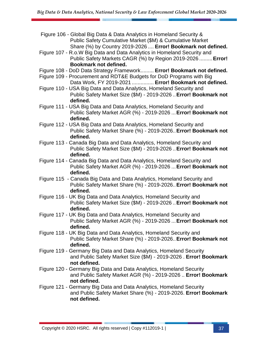| Figure 106 - Global Big Data & Data Analytics in Homeland Security &<br>Public Safety Cumulative Market (\$M) & Cumulative Market<br>Share (%) by Country 2019-2026  Error! Bookmark not defined.      |
|--------------------------------------------------------------------------------------------------------------------------------------------------------------------------------------------------------|
| Figure 107 - R.o.W Big Data and Data Analytics in Homeland Security and<br>Public Safety Markets CAGR (%) by Region 2019-2026  Error!<br>Bookmark not defined.                                         |
| Figure 108 - DoD Data Strategy Framework Error! Bookmark not defined.<br>Figure 109 - Procurement and RDT&E Budgets for DoD Programs with Big<br>Data Work, FY 2019-2021  Error! Bookmark not defined. |
| Figure 110 - USA Big Data and Data Analytics, Homeland Security and<br>Public Safety Market Size (\$M) - 2019-2026  Error! Bookmark not<br>defined.                                                    |
| Figure 111 - USA Big Data and Data Analytics, Homeland Security and<br>Public Safety Market AGR (%) - 2019-2026  Error! Bookmark not<br>defined.                                                       |
| Figure 112 - USA Big Data and Data Analytics, Homeland Security and<br>Public Safety Market Share (%) - 2019-2026. Error! Bookmark not<br>defined.                                                     |
| Figure 113 - Canada Big Data and Data Analytics, Homeland Security and<br>Public Safety Market Size (\$M) - 2019-2026  Error! Bookmark not<br>defined.                                                 |
| Figure 114 - Canada Big Data and Data Analytics, Homeland Security and<br>Public Safety Market AGR (%) - 2019-2026  Error! Bookmark not<br>defined.                                                    |
| Figure 115 - Canada Big Data and Data Analytics, Homeland Security and<br>Public Safety Market Share (%) - 2019-2026. Error! Bookmark not<br>defined.                                                  |
| Figure 116 - UK Big Data and Data Analytics, Homeland Security and<br>Public Safety Market Size (\$M) - 2019-2026  Error! Bookmark not<br>defined.                                                     |
| Figure 117 - UK Big Data and Data Analytics, Homeland Security and<br>Public Safety Market AGR (%) - 2019-2026  Error! Bookmark not<br>defined.                                                        |
| Figure 118 - UK Big Data and Data Analytics, Homeland Security and<br>Public Safety Market Share (%) - 2019-2026. Error! Bookmark not<br>defined.                                                      |
| Figure 119 - Germany Big Data and Data Analytics, Homeland Security<br>and Public Safety Market Size (\$M) - 2019-2026 . Error! Bookmark<br>not defined.                                               |
| Figure 120 - Germany Big Data and Data Analytics, Homeland Security<br>and Public Safety Market AGR (%) - 2019-2026  Error! Bookmark<br>not defined.                                                   |
| Figure 121 - Germany Big Data and Data Analytics, Homeland Security<br>and Public Safety Market Share (%) - 2019-2026. Error! Bookmark<br>not defined.                                                 |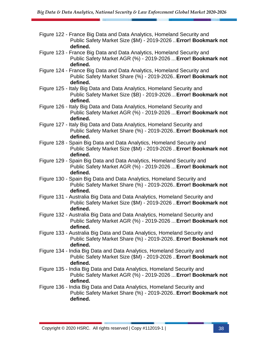- Figure 122 France Big Data and Data Analytics, Homeland Security and Public Safety Market Size (\$M) - 2019-2026 ..**Error! Bookmark not defined.**
- Figure 123 France Big Data and Data Analytics, Homeland Security and Public Safety Market AGR (%) - 2019-2026 ...**Error! Bookmark not defined.**
- Figure 124 France Big Data and Data Analytics, Homeland Security and Public Safety Market Share (%) - 2019-2026..**Error! Bookmark not defined.**
- Figure 125 Italy Big Data and Data Analytics, Homeland Security and Public Safety Market Size (\$B) - 2019-2026...**Error! Bookmark not defined.**
- Figure 126 Italy Big Data and Data Analytics, Homeland Security and Public Safety Market AGR (%) - 2019-2026 ...**Error! Bookmark not defined.**
- Figure 127 Italy Big Data and Data Analytics, Homeland Security and Public Safety Market Share (%) - 2019-2026..**Error! Bookmark not defined.**
- Figure 128 Spain Big Data and Data Analytics, Homeland Security and Public Safety Market Size (\$M) - 2019-2026 ..**Error! Bookmark not defined.**
- Figure 129 Spain Big Data and Data Analytics, Homeland Security and Public Safety Market AGR (%) - 2019-2026 ...**Error! Bookmark not defined.**
- Figure 130 Spain Big Data and Data Analytics, Homeland Security and Public Safety Market Share (%) - 2019-2026..**Error! Bookmark not defined.**
- Figure 131 Australia Big Data and Data Analytics, Homeland Security and Public Safety Market Size (\$M) - 2019-2026 ..**Error! Bookmark not defined.**
- Figure 132 Australia Big Data and Data Analytics, Homeland Security and Public Safety Market AGR (%) - 2019-2026 ...**Error! Bookmark not defined.**
- Figure 133 Australia Big Data and Data Analytics, Homeland Security and Public Safety Market Share (%) - 2019-2026..**Error! Bookmark not defined.**
- Figure 134 India Big Data and Data Analytics, Homeland Security and Public Safety Market Size (\$M) - 2019-2026 ..**Error! Bookmark not defined.**
- Figure 135 India Big Data and Data Analytics, Homeland Security and Public Safety Market AGR (%) - 2019-2026 ...**Error! Bookmark not defined.**
- Figure 136 India Big Data and Data Analytics, Homeland Security and Public Safety Market Share (%) - 2019-2026..**Error! Bookmark not defined.**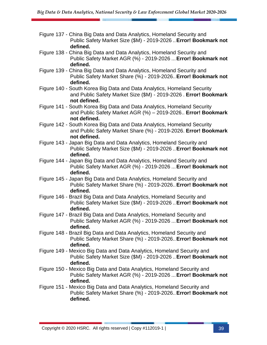- Figure 137 China Big Data and Data Analytics, Homeland Security and Public Safety Market Size (\$M) - 2019-2026 ..**Error! Bookmark not defined.**
- Figure 138 China Big Data and Data Analytics, Homeland Security and Public Safety Market AGR (%) - 2019-2026 ...**Error! Bookmark not defined.**
- Figure 139 China Big Data and Data Analytics, Homeland Security and Public Safety Market Share (%) - 2019-2026..**Error! Bookmark not defined.**
- Figure 140 South Korea Big Data and Data Analytics, Homeland Security and Public Safety Market Size (\$M) - 2019-2026 . **Error! Bookmark not defined.**
- Figure 141 South Korea Big Data and Data Analytics, Homeland Security and Public Safety Market AGR (%) – 2019-2026.. **Error! Bookmark not defined.**
- Figure 142 South Korea Big Data and Data Analytics, Homeland Security and Public Safety Market Share (%) - 2019-2026. **Error! Bookmark not defined.**
- Figure 143 Japan Big Data and Data Analytics, Homeland Security and Public Safety Market Size (\$M) - 2019-2026 ..**Error! Bookmark not defined.**
- Figure 144 Japan Big Data and Data Analytics, Homeland Security and Public Safety Market AGR (%) - 2019-2026 ...**Error! Bookmark not defined.**
- Figure 145 Japan Big Data and Data Analytics, Homeland Security and Public Safety Market Share (%) - 2019-2026..**Error! Bookmark not defined.**
- Figure 146 Brazil Big Data and Data Analytics, Homeland Security and Public Safety Market Size (\$M) - 2019-2026 ..**Error! Bookmark not defined.**
- Figure 147 Brazil Big Data and Data Analytics, Homeland Security and Public Safety Market AGR (%) - 2019-2026 ...**Error! Bookmark not defined.**
- Figure 148 Brazil Big Data and Data Analytics, Homeland Security and Public Safety Market Share (%) - 2019-2026..**Error! Bookmark not defined.**
- Figure 149 Mexico Big Data and Data Analytics, Homeland Security and Public Safety Market Size (\$M) - 2019-2026 ..**Error! Bookmark not defined.**
- Figure 150 Mexico Big Data and Data Analytics, Homeland Security and Public Safety Market AGR (%) - 2019-2026 ...**Error! Bookmark not defined.**
- Figure 151 Mexico Big Data and Data Analytics, Homeland Security and Public Safety Market Share (%) - 2019-2026..**Error! Bookmark not defined.**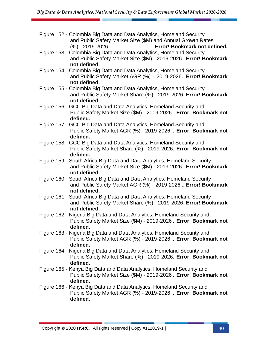| Figure 152 - Colombia Big Data and Data Analytics, Homeland Security<br>and Public Safety Market Size (\$M) and Annual Growth Rates<br>(%) - 2019-2026 Error! Bookmark not defined. |
|-------------------------------------------------------------------------------------------------------------------------------------------------------------------------------------|
| Figure 153 - Colombia Big Data and Data Analytics, Homeland Security<br>and Public Safety Market Size (\$M) - 2019-2026 . Error! Bookmark<br>not defined.                           |
| Figure 154 - Colombia Big Data and Data Analytics, Homeland Security<br>and Public Safety Market AGR (%) - 2019-2026. Error! Bookmark<br>not defined.                               |
| Figure 155 - Colombia Big Data and Data Analytics, Homeland Security<br>and Public Safety Market Share (%) - 2019-2026. Error! Bookmark<br>not defined.                             |
| Figure 156 - GCC Big Data and Data Analytics, Homeland Security and<br>Public Safety Market Size (\$M) - 2019-2026  Error! Bookmark not<br>defined.                                 |
| Figure 157 - GCC Big Data and Data Analytics, Homeland Security and<br>Public Safety Market AGR (%) - 2019-2026  Error! Bookmark not<br>defined.                                    |
| Figure 158 - GCC Big Data and Data Analytics, Homeland Security and<br>Public Safety Market Share (%) - 2019-2026. Error! Bookmark not<br>defined.                                  |
| Figure 159 - South Africa Big Data and Data Analytics, Homeland Security<br>and Public Safety Market Size (\$M) - 2019-2026 . Error! Bookmark<br>not defined.                       |
| Figure 160 - South Africa Big Data and Data Analytics, Homeland Security<br>and Public Safety Market AGR (%) - 2019-2026  Error! Bookmark<br>not defined.                           |
| Figure 161 - South Africa Big Data and Data Analytics, Homeland Security<br>and Public Safety Market Share (%) - 2019-2026. Error! Bookmark<br>not defined.                         |
| Figure 162 - Nigeria Big Data and Data Analytics, Homeland Security and<br>Public Safety Market Size (\$M) - 2019-2026  Error! Bookmark not<br>defined.                             |
| Figure 163 - Nigeria Big Data and Data Analytics, Homeland Security and<br>Public Safety Market AGR (%) - 2019-2026  Error! Bookmark not<br>defined.                                |
| Figure 164 - Nigeria Big Data and Data Analytics, Homeland Security and<br>Public Safety Market Share (%) - 2019-2026. Error! Bookmark not<br>defined.                              |
| Figure 165 - Kenya Big Data and Data Analytics, Homeland Security and<br>Public Safety Market Size (\$M) - 2019-2026  Error! Bookmark not<br>defined.                               |
| Figure 166 - Kenya Big Data and Data Analytics, Homeland Security and<br>Public Safety Market AGR (%) - 2019-2026  Error! Bookmark not<br>defined.                                  |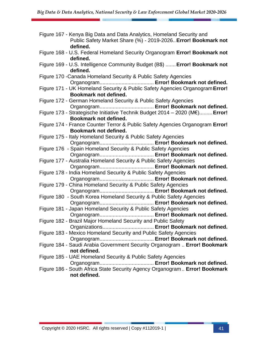| Figure 167 - Kenya Big Data and Data Analytics, Homeland Security and<br>Public Safety Market Share (%) - 2019-2026. Error! Bookmark not<br>defined. |
|------------------------------------------------------------------------------------------------------------------------------------------------------|
| Figure 168 - U.S. Federal Homeland Security Organogram Error! Bookmark not<br>defined.                                                               |
| Figure 169 - U.S. Intelligence Community Budget (B\$)  Error! Bookmark not<br>defined.                                                               |
| Figure 170 - Canada Homeland Security & Public Safety Agencies                                                                                       |
| Figure 171 - UK Homeland Security & Public Safety Agencies Organogram Error!<br>Bookmark not defined.                                                |
| Figure 172 - German Homeland Security & Public Safety Agencies                                                                                       |
| Figure 173 - Strategische Initiative Technik Budget 2014 - 2020 (M€) Error!<br>Bookmark not defined.                                                 |
| Figure 174 - France Counter Terror & Public Safety Agencies Organogram Error!<br>Bookmark not defined.                                               |
| Figure 175 - Italy Homeland Security & Public Safety Agencies                                                                                        |
| Figure 176 - Spain Homeland Security & Public Safety Agencies                                                                                        |
| Figure 177 - Australia Homeland Security & Public Safety Agencies                                                                                    |
| Figure 178 - India Homeland Security & Public Safety Agencies                                                                                        |
| Figure 179 - China Homeland Security & Public Safety Agencies                                                                                        |
| Figure 180 - South Korea Homeland Security & Public Safety Agencies                                                                                  |
| Figure 181 - Japan Homeland Security & Public Safety Agencies                                                                                        |
| Figure 182 - Brazil Major Homeland Security and Public Safety<br>Organizations Error! Bookmark not defined.                                          |
| Figure 183 - Mexico Homeland Security and Public Safety Agencies                                                                                     |
| Figure 184 - Saudi Arabia Government Security Organogram  Error! Bookmark                                                                            |
| not defined.<br>Figure 185 - UAE Homeland Security & Public Safety Agencies                                                                          |
| Figure 186 - South Africa State Security Agency Organogram Error! Bookmark<br>not defined.                                                           |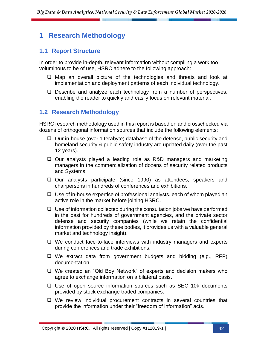### <span id="page-41-0"></span>**1 Research Methodology**

#### <span id="page-41-1"></span>**1.1 Report Structure**

In order to provide in-depth, relevant information without compiling a work too voluminous to be of use, HSRC adhere to the following approach:

- ❑ Map an overall picture of the technologies and threats and look at implementation and deployment patterns of each individual technology.
- ❑ Describe and analyze each technology from a number of perspectives, enabling the reader to quickly and easily focus on relevant material.

#### <span id="page-41-2"></span>**1.2 Research Methodology**

HSRC research methodology used in this report is based on and crosschecked via dozens of orthogonal information sources that include the following elements:

- ❑ Our in-house (over 1 terabyte) database of the defense, public security and homeland security & public safety industry are updated daily (over the past 12 years).
- ❑ Our analysts played a leading role as R&D managers and marketing managers in the commercialization of dozens of security related products and Systems.
- ❑ Our analysts participate (since 1990) as attendees, speakers and chairpersons in hundreds of conferences and exhibitions.
- ❑ Use of in-house expertise of professional analysts, each of whom played an active role in the market before joining HSRC.
- ❑ Use of information collected during the consultation jobs we have performed in the past for hundreds of government agencies, and the private sector defense and security companies (while we retain the confidential information provided by these bodies, it provides us with a valuable general market and technology insight).
- ❑ We conduct face-to-face interviews with industry managers and experts during conferences and trade exhibitions.
- ❑ We extract data from government budgets and bidding (e.g., RFP) documentation.
- ❑ We created an "Old Boy Network" of experts and decision makers who agree to exchange information on a bilateral basis.
- ❑ Use of open source information sources such as SEC 10k documents provided by stock exchange traded companies.
- ❑ We review individual procurement contracts in several countries that provide the information under their "freedom of information" acts.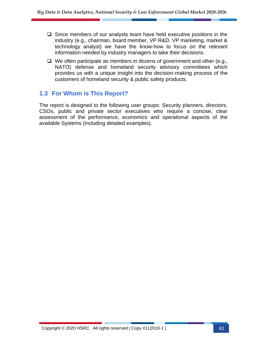- ❑ Since members of our analysts team have held executive positions in the industry (e.g., chairman, board member, VP R&D, VP marketing, market & technology analyst) we have the know-how to focus on the relevant information needed by industry managers to take their decisions.
- ❑ We often participate as members in dozens of government and other (e.g., NATO) defense and homeland security advisory committees which provides us with a unique insight into the decision-making process of the customers of homeland security & public safety products.

#### <span id="page-42-0"></span>**1.3 For Whom is This Report?**

The report is designed to the following user groups: Security planners, directors, CSOs, public and private sector executives who require a concise, clear assessment of the performance, economics and operational aspects of the available Systems (including detailed examples).